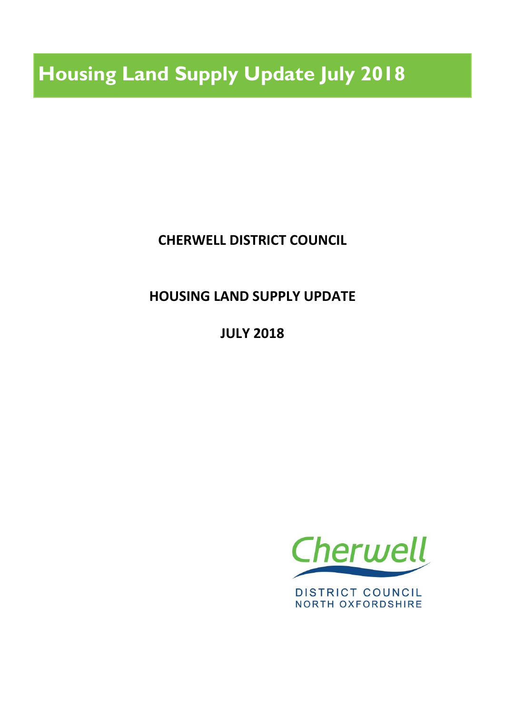**Housing Land Supply Update July 2018**

**CHERWELL DISTRICT COUNCIL**

**HOUSING LAND SUPPLY UPDATE**

**JULY 2018**



**DISTRICT COUNCIL NORTH OXFORDSHIRE**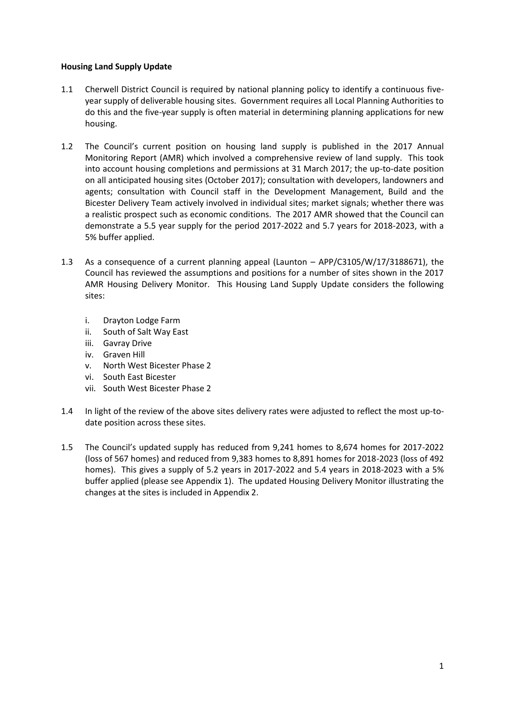#### **Housing Land Supply Update**

- 1.1 Cherwell District Council is required by national planning policy to identify a continuous fiveyear supply of deliverable housing sites. Government requires all Local Planning Authorities to do this and the five-year supply is often material in determining planning applications for new housing.
- 1.2 The Council's current position on housing land supply is published in the 2017 Annual Monitoring Report (AMR) which involved a comprehensive review of land supply. This took into account housing completions and permissions at 31 March 2017; the up-to-date position on all anticipated housing sites (October 2017); consultation with developers, landowners and agents; consultation with Council staff in the Development Management, Build and the Bicester Delivery Team actively involved in individual sites; market signals; whether there was a realistic prospect such as economic conditions. The 2017 AMR showed that the Council can demonstrate a 5.5 year supply for the period 2017-2022 and 5.7 years for 2018-2023, with a 5% buffer applied.
- 1.3 As a consequence of a current planning appeal (Launton APP/C3105/W/17/3188671), the Council has reviewed the assumptions and positions for a number of sites shown in the 2017 AMR Housing Delivery Monitor. This Housing Land Supply Update considers the following sites:
	- i. Drayton Lodge Farm
	- ii. South of Salt Way East
	- iii. Gavray Drive
	- iv. Graven Hill
	- v. North West Bicester Phase 2
	- vi. South East Bicester
	- vii. South West Bicester Phase 2
- 1.4 In light of the review of the above sites delivery rates were adjusted to reflect the most up-todate position across these sites.
- 1.5 The Council's updated supply has reduced from 9,241 homes to 8,674 homes for 2017-2022 (loss of 567 homes) and reduced from 9,383 homes to 8,891 homes for 2018-2023 (loss of 492 homes). This gives a supply of 5.2 years in 2017-2022 and 5.4 years in 2018-2023 with a 5% buffer applied (please see Appendix 1). The updated Housing Delivery Monitor illustrating the changes at the sites is included in Appendix 2.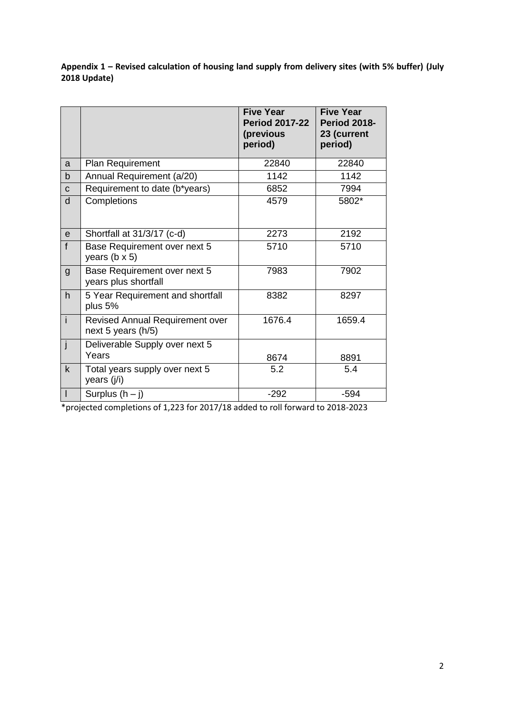**Appendix 1 – Revised calculation of housing land supply from delivery sites (with 5% buffer) (July 2018 Update)**

|                          |                                                              | <b>Five Year</b><br><b>Period 2017-22</b><br>(previous<br>period) | <b>Five Year</b><br><b>Period 2018-</b><br>23 (current<br>period) |
|--------------------------|--------------------------------------------------------------|-------------------------------------------------------------------|-------------------------------------------------------------------|
| a                        | Plan Requirement                                             | 22840                                                             | 22840                                                             |
| $\mathsf b$              | Annual Requirement (a/20)                                    | 1142                                                              | 1142                                                              |
| C                        | Requirement to date (b*years)                                | 6852                                                              | 7994                                                              |
| d                        | Completions                                                  | 4579                                                              | 5802*                                                             |
| $\mathsf{e}$             | Shortfall at 31/3/17 (c-d)                                   | 2273                                                              | 2192                                                              |
| $\mathbf{f}$             | Base Requirement over next 5<br>years ( $b \times 5$ )       | 5710                                                              | 5710                                                              |
| $\mathsf{g}$             | Base Requirement over next 5<br>years plus shortfall         | 7983                                                              | 7902                                                              |
| h                        | 5 Year Requirement and shortfall<br>plus 5%                  | 8382                                                              | 8297                                                              |
| $\mathbf{i}$             | <b>Revised Annual Requirement over</b><br>next 5 years (h/5) | 1676.4                                                            | 1659.4                                                            |
| j                        | Deliverable Supply over next 5<br>Years                      | 8674                                                              | 8891                                                              |
| $\mathsf k$              | Total years supply over next 5<br>years (j/i)                | 5.2                                                               | 5.4                                                               |
| $\overline{\phantom{a}}$ | Surplus $(h - j)$                                            | $-292$                                                            | $-594$                                                            |

\*projected completions of 1,223 for 2017/18 added to roll forward to 2018-2023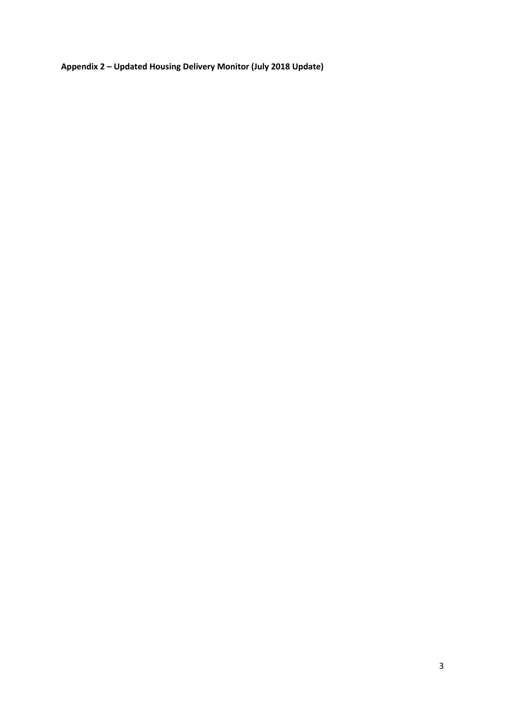**Appendix 2 – Updated Housing Delivery Monitor (July 2018 Update)**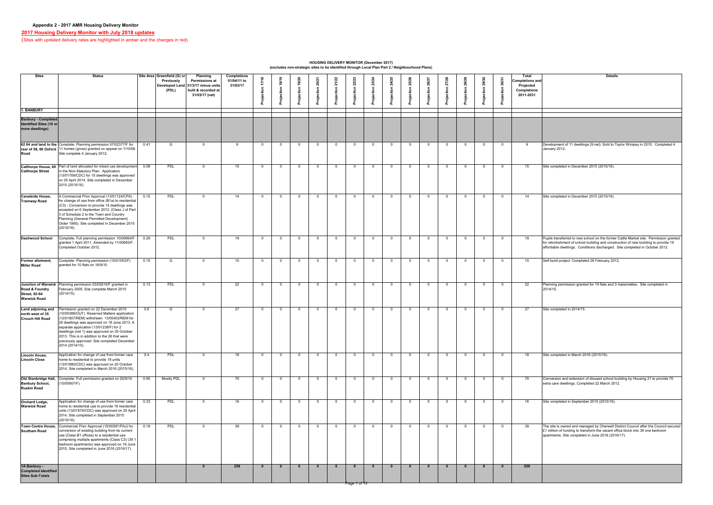| Site Area Greenfield (G) or<br><b>Sites</b><br><b>Status</b><br><b>Completions</b><br><b>Total</b><br><b>Details</b><br><b>Planning</b><br>9/20<br>/22<br>27/28<br>െ<br>23<br>$\bullet$<br>$\overline{ }$<br><u>ෆ</u><br>01/04/11 to<br><b>Completions and</b><br><b>Permissions at</b><br><b>Previously</b><br>22<br>31/03/17<br>$\sim$<br>Projected<br>Developed Land 31/3/17 minus units<br>(PDL)<br>built & recorded at<br><b>Completions</b><br>2011-2031<br>31/03/17 (net)<br><b>. BANBURY</b><br><b>Banbury - Completed</b><br>Identified Sites (10 or<br>62 64 and land to the Complete. Planning permission 07/02377/F for<br>Development of 11 dwellings (9 net). Sold to Taylor Wimpey in 2010. Completed 4<br>0.41<br><u>റ</u><br>$\overline{0}$<br>$\cap$<br>$\Omega$<br>0<br>n<br>G.<br>January 2012.<br>rear of 58, 60 Oxford   11 homes (gross) granted on appeal on 1/10/08.<br>Site complete 4 January 2012.<br>Calthorpe House, 60 Part of land allocated for mixed use development<br>0.08<br>PDL<br>Site completed in December 2015 (2015/16).<br>15<br>15<br>$\overline{0}$<br>$\Omega$<br>$\overline{0}$<br>$\overline{0}$<br>- 0<br>$\overline{0}$<br>$\Omega$<br>$\overline{0}$<br>_ റ<br>- റ<br>റ<br>റ<br>in the Non-Statutory Plan. Application<br>(13/01709/CDC) for 15 dwellings was approved<br>on 25 April 2014. Site completed in December<br>2015 (2015/16).<br>A Commercial Prior Approval (13/01124/CPA)<br>Site completed in December 2015 (2015/16).<br>0.15<br><b>PDL</b><br>14<br>14<br>$\overline{0}$<br>- റ<br>$\Omega$<br>for change of use from office (B1a) to residential<br>$\vert$ (C3) - Conversion to provide 14 dwellings was<br>accepted on 6 September 2013. (Class J of Part<br>3 of Schedule 2 to the Town and Country<br>Planning (General Permitted Development)<br>Order 1995). Site completed in December 2015<br>(2015/16).<br>Complete. Full planning permission 10/00664/F<br><b>PDL</b><br>Pupils transferred to new school on the former Cattle Market site. Permission granted<br>0.29<br>19<br>$\overline{0}$<br>$\Omega$<br>$\overline{0}$<br>$\Omega$<br>19<br>$\bigcap$<br>$\Omega$<br>$\Omega$<br>- വ<br>- റ<br>റ<br>granted 1 April 2011. Amended by 11/00683/F.<br>for refurbishment of school building and construction of new building to provide 19<br>Completed October 2012.<br>affordable dwellings. Conditions discharged. Site completed in October 2012.<br>Complete. Planning permission (10/01053/F)<br>Self-build project. Completed 28 February 2012.<br>0.15<br>10<br>10 <sup>1</sup><br>$\Omega$<br>$\overline{0}$<br>$\Omega$<br>റ<br>$\Omega$<br>$\Omega$<br>0<br>granted for 10 flats on 16/9/10<br>Junction of Warwick Planning permission 03/02616/F granted in<br>PDL<br>Planning permission granted for 19 flats and 3 maisonettes. Site completed in<br>0.13<br>22<br>22<br>$\overline{0}$<br>- റ<br>$\Omega$<br>February 2005. Site complete March 2015<br>2014/15.<br>(2014/15).<br>Permission granted on 22 December 2010<br>0.6<br>Site completed in 2014/15.<br>27<br>27<br>$\overline{0}$<br>$\cap$<br>$\cap$<br>$\Omega$<br>റ<br>$\Omega$<br>- റ<br>10/00388/OUT). Reserved Matters application<br>(12/01807/REM) withdrawn. 13/00402/REM for<br>26 dwellings was approved on 18 June 2013. A<br>separate application (13/01238/F) for 2<br>dwellings (net 1) was approved on 30 October<br>2013. This is in addition to the 26 that were<br>previously approved. Site completed December<br>[2014 (2014/15)].<br>Application for change of use from former care<br>0.4<br>PDL<br>Site completed in March 2016 (2015/16).<br>18<br>Lincoln House,<br>$\overline{0}$<br>18<br>- റ<br>- റ<br>$\cap$<br>$\Omega$<br>home to residential to provide 18 units<br><b>Lincoln Close</b><br>(13/01880/CDC) was approved on 20 October<br>2014. Site completed in March 2016 (2015/16).<br>Old Stanbridge Hall, Complete. Full permission granted on 20/9/10<br><b>Mostly PDL</b><br>0.95<br>Conversion and extension of disused school building by Housing 21 to provide 70<br>70<br>70<br>- 0<br>- റ<br>(10/00907/F).<br>extra care dwellings. Completed 22 March 2012.<br><b>Ruskin Road</b><br>Application for change of use from former care<br>Site completed in September 2015 (2015/16).<br>0.33<br>PDL<br>16<br>16<br>$\overline{0}$<br>$\overline{0}$<br>$\overline{0}$<br>റ<br>_റ<br>$\Omega$<br>$\Omega$<br>- റ<br>home to residential use to provide 16 residential<br>units (13/01879/CDC) was approved on 25 April<br>2014. Site completed in September 2015<br>(2015/16).<br>Commercial Prior Approval (15/00581/PAJ) for<br>The site is owned and managed by Cherwell District Council after the Council secured<br>0.19<br>PDL<br>39<br>39<br>. വ<br>$\Omega$<br>$\overline{0}$<br>$\cap$<br>$\Omega$<br>$\cap$<br>$\mathsf{E}$ 1 million of funding to transform the vacant office block into 39 one bedroom<br>conversion of existing building from its current<br>apartments. Site completed in June 2016 (2016/17).<br>use (Class B1 offices) to a residential use<br>comprising multiple apartments (Class C3) (39 1<br>bedroom apartments) was approved on 19 June<br>2015. Site completed in June 2016 (2016/17).<br>259<br>259<br>$\mathbf{0}$<br>Completed Identified<br>Page 1 of 13 |                                                                   |  |  |  |  |  |  |  |  |  |  |  |
|--------------------------------------------------------------------------------------------------------------------------------------------------------------------------------------------------------------------------------------------------------------------------------------------------------------------------------------------------------------------------------------------------------------------------------------------------------------------------------------------------------------------------------------------------------------------------------------------------------------------------------------------------------------------------------------------------------------------------------------------------------------------------------------------------------------------------------------------------------------------------------------------------------------------------------------------------------------------------------------------------------------------------------------------------------------------------------------------------------------------------------------------------------------------------------------------------------------------------------------------------------------------------------------------------------------------------------------------------------------------------------------------------------------------------------------------------------------------------------------------------------------------------------------------------------------------------------------------------------------------------------------------------------------------------------------------------------------------------------------------------------------------------------------------------------------------------------------------------------------------------------------------------------------------------------------------------------------------------------------------------------------------------------------------------------------------------------------------------------------------------------------------------------------------------------------------------------------------------------------------------------------------------------------------------------------------------------------------------------------------------------------------------------------------------------------------------------------------------------------------------------------------------------------------------------------------------------------------------------------------------------------------------------------------------------------------------------------------------------------------------------------------------------------------------------------------------------------------------------------------------------------------------------------------------------------------------------------------------------------------------------------------------------------------------------------------------------------------------------------------------------------------------------------------------------------------------------------------------------------------------------------------------------------------------------------------------------------------------------------------------------------------------------------------------------------------------------------------------------------------------------------------------------------------------------------------------------------------------------------------------------------------------------------------------------------------------------------------------------------------------------------------------------------------------------------------------------------------------------------------------------------------------------------------------------------------------------------------------------------------------------------------------------------------------------------------------------------------------------------------------------------------------------------------------------------------------------------------------------------------------------------------------------------------------------------------------------------------------------------------------------------------------------------------------------------------------------------------------------------------------------------------------------------------------------------------------------------------------------------------------------------------------------------------------------------------------------------------------------------------------------------------------------------------------------------------------------------------------------------------------------------------------------------------------------------------------------------------------------------------------------------------------------------------------------------------------------------------------------------------------------------------------------------------------------------------------------------------------------------------------------------------------------------------------------------|-------------------------------------------------------------------|--|--|--|--|--|--|--|--|--|--|--|
|                                                                                                                                                                                                                                                                                                                                                                                                                                                                                                                                                                                                                                                                                                                                                                                                                                                                                                                                                                                                                                                                                                                                                                                                                                                                                                                                                                                                                                                                                                                                                                                                                                                                                                                                                                                                                                                                                                                                                                                                                                                                                                                                                                                                                                                                                                                                                                                                                                                                                                                                                                                                                                                                                                                                                                                                                                                                                                                                                                                                                                                                                                                                                                                                                                                                                                                                                                                                                                                                                                                                                                                                                                                                                                                                                                                                                                                                                                                                                                                                                                                                                                                                                                                                                                                                                                                                                                                                                                                                                                                                                                                                                                                                                                                                                                                                                                                                                                                                                                                                                                                                                                                                                                                                                                                                                                              |                                                                   |  |  |  |  |  |  |  |  |  |  |  |
|                                                                                                                                                                                                                                                                                                                                                                                                                                                                                                                                                                                                                                                                                                                                                                                                                                                                                                                                                                                                                                                                                                                                                                                                                                                                                                                                                                                                                                                                                                                                                                                                                                                                                                                                                                                                                                                                                                                                                                                                                                                                                                                                                                                                                                                                                                                                                                                                                                                                                                                                                                                                                                                                                                                                                                                                                                                                                                                                                                                                                                                                                                                                                                                                                                                                                                                                                                                                                                                                                                                                                                                                                                                                                                                                                                                                                                                                                                                                                                                                                                                                                                                                                                                                                                                                                                                                                                                                                                                                                                                                                                                                                                                                                                                                                                                                                                                                                                                                                                                                                                                                                                                                                                                                                                                                                                              |                                                                   |  |  |  |  |  |  |  |  |  |  |  |
|                                                                                                                                                                                                                                                                                                                                                                                                                                                                                                                                                                                                                                                                                                                                                                                                                                                                                                                                                                                                                                                                                                                                                                                                                                                                                                                                                                                                                                                                                                                                                                                                                                                                                                                                                                                                                                                                                                                                                                                                                                                                                                                                                                                                                                                                                                                                                                                                                                                                                                                                                                                                                                                                                                                                                                                                                                                                                                                                                                                                                                                                                                                                                                                                                                                                                                                                                                                                                                                                                                                                                                                                                                                                                                                                                                                                                                                                                                                                                                                                                                                                                                                                                                                                                                                                                                                                                                                                                                                                                                                                                                                                                                                                                                                                                                                                                                                                                                                                                                                                                                                                                                                                                                                                                                                                                                              | more dwellings)                                                   |  |  |  |  |  |  |  |  |  |  |  |
|                                                                                                                                                                                                                                                                                                                                                                                                                                                                                                                                                                                                                                                                                                                                                                                                                                                                                                                                                                                                                                                                                                                                                                                                                                                                                                                                                                                                                                                                                                                                                                                                                                                                                                                                                                                                                                                                                                                                                                                                                                                                                                                                                                                                                                                                                                                                                                                                                                                                                                                                                                                                                                                                                                                                                                                                                                                                                                                                                                                                                                                                                                                                                                                                                                                                                                                                                                                                                                                                                                                                                                                                                                                                                                                                                                                                                                                                                                                                                                                                                                                                                                                                                                                                                                                                                                                                                                                                                                                                                                                                                                                                                                                                                                                                                                                                                                                                                                                                                                                                                                                                                                                                                                                                                                                                                                              | Road                                                              |  |  |  |  |  |  |  |  |  |  |  |
|                                                                                                                                                                                                                                                                                                                                                                                                                                                                                                                                                                                                                                                                                                                                                                                                                                                                                                                                                                                                                                                                                                                                                                                                                                                                                                                                                                                                                                                                                                                                                                                                                                                                                                                                                                                                                                                                                                                                                                                                                                                                                                                                                                                                                                                                                                                                                                                                                                                                                                                                                                                                                                                                                                                                                                                                                                                                                                                                                                                                                                                                                                                                                                                                                                                                                                                                                                                                                                                                                                                                                                                                                                                                                                                                                                                                                                                                                                                                                                                                                                                                                                                                                                                                                                                                                                                                                                                                                                                                                                                                                                                                                                                                                                                                                                                                                                                                                                                                                                                                                                                                                                                                                                                                                                                                                                              | <b>Calthorpe Street</b>                                           |  |  |  |  |  |  |  |  |  |  |  |
|                                                                                                                                                                                                                                                                                                                                                                                                                                                                                                                                                                                                                                                                                                                                                                                                                                                                                                                                                                                                                                                                                                                                                                                                                                                                                                                                                                                                                                                                                                                                                                                                                                                                                                                                                                                                                                                                                                                                                                                                                                                                                                                                                                                                                                                                                                                                                                                                                                                                                                                                                                                                                                                                                                                                                                                                                                                                                                                                                                                                                                                                                                                                                                                                                                                                                                                                                                                                                                                                                                                                                                                                                                                                                                                                                                                                                                                                                                                                                                                                                                                                                                                                                                                                                                                                                                                                                                                                                                                                                                                                                                                                                                                                                                                                                                                                                                                                                                                                                                                                                                                                                                                                                                                                                                                                                                              | <b>Canalside House,</b><br><b>Tramway Road</b>                    |  |  |  |  |  |  |  |  |  |  |  |
|                                                                                                                                                                                                                                                                                                                                                                                                                                                                                                                                                                                                                                                                                                                                                                                                                                                                                                                                                                                                                                                                                                                                                                                                                                                                                                                                                                                                                                                                                                                                                                                                                                                                                                                                                                                                                                                                                                                                                                                                                                                                                                                                                                                                                                                                                                                                                                                                                                                                                                                                                                                                                                                                                                                                                                                                                                                                                                                                                                                                                                                                                                                                                                                                                                                                                                                                                                                                                                                                                                                                                                                                                                                                                                                                                                                                                                                                                                                                                                                                                                                                                                                                                                                                                                                                                                                                                                                                                                                                                                                                                                                                                                                                                                                                                                                                                                                                                                                                                                                                                                                                                                                                                                                                                                                                                                              | <b>Dashwood School</b>                                            |  |  |  |  |  |  |  |  |  |  |  |
|                                                                                                                                                                                                                                                                                                                                                                                                                                                                                                                                                                                                                                                                                                                                                                                                                                                                                                                                                                                                                                                                                                                                                                                                                                                                                                                                                                                                                                                                                                                                                                                                                                                                                                                                                                                                                                                                                                                                                                                                                                                                                                                                                                                                                                                                                                                                                                                                                                                                                                                                                                                                                                                                                                                                                                                                                                                                                                                                                                                                                                                                                                                                                                                                                                                                                                                                                                                                                                                                                                                                                                                                                                                                                                                                                                                                                                                                                                                                                                                                                                                                                                                                                                                                                                                                                                                                                                                                                                                                                                                                                                                                                                                                                                                                                                                                                                                                                                                                                                                                                                                                                                                                                                                                                                                                                                              | Former allotment,<br><b>Miller Road</b>                           |  |  |  |  |  |  |  |  |  |  |  |
|                                                                                                                                                                                                                                                                                                                                                                                                                                                                                                                                                                                                                                                                                                                                                                                                                                                                                                                                                                                                                                                                                                                                                                                                                                                                                                                                                                                                                                                                                                                                                                                                                                                                                                                                                                                                                                                                                                                                                                                                                                                                                                                                                                                                                                                                                                                                                                                                                                                                                                                                                                                                                                                                                                                                                                                                                                                                                                                                                                                                                                                                                                                                                                                                                                                                                                                                                                                                                                                                                                                                                                                                                                                                                                                                                                                                                                                                                                                                                                                                                                                                                                                                                                                                                                                                                                                                                                                                                                                                                                                                                                                                                                                                                                                                                                                                                                                                                                                                                                                                                                                                                                                                                                                                                                                                                                              | Road & Foundry<br><b>Street, 92-94</b><br><b>Warwick Road</b>     |  |  |  |  |  |  |  |  |  |  |  |
|                                                                                                                                                                                                                                                                                                                                                                                                                                                                                                                                                                                                                                                                                                                                                                                                                                                                                                                                                                                                                                                                                                                                                                                                                                                                                                                                                                                                                                                                                                                                                                                                                                                                                                                                                                                                                                                                                                                                                                                                                                                                                                                                                                                                                                                                                                                                                                                                                                                                                                                                                                                                                                                                                                                                                                                                                                                                                                                                                                                                                                                                                                                                                                                                                                                                                                                                                                                                                                                                                                                                                                                                                                                                                                                                                                                                                                                                                                                                                                                                                                                                                                                                                                                                                                                                                                                                                                                                                                                                                                                                                                                                                                                                                                                                                                                                                                                                                                                                                                                                                                                                                                                                                                                                                                                                                                              | Land adjoining and<br>north west of 35<br><b>Crouch Hill Road</b> |  |  |  |  |  |  |  |  |  |  |  |
|                                                                                                                                                                                                                                                                                                                                                                                                                                                                                                                                                                                                                                                                                                                                                                                                                                                                                                                                                                                                                                                                                                                                                                                                                                                                                                                                                                                                                                                                                                                                                                                                                                                                                                                                                                                                                                                                                                                                                                                                                                                                                                                                                                                                                                                                                                                                                                                                                                                                                                                                                                                                                                                                                                                                                                                                                                                                                                                                                                                                                                                                                                                                                                                                                                                                                                                                                                                                                                                                                                                                                                                                                                                                                                                                                                                                                                                                                                                                                                                                                                                                                                                                                                                                                                                                                                                                                                                                                                                                                                                                                                                                                                                                                                                                                                                                                                                                                                                                                                                                                                                                                                                                                                                                                                                                                                              |                                                                   |  |  |  |  |  |  |  |  |  |  |  |
|                                                                                                                                                                                                                                                                                                                                                                                                                                                                                                                                                                                                                                                                                                                                                                                                                                                                                                                                                                                                                                                                                                                                                                                                                                                                                                                                                                                                                                                                                                                                                                                                                                                                                                                                                                                                                                                                                                                                                                                                                                                                                                                                                                                                                                                                                                                                                                                                                                                                                                                                                                                                                                                                                                                                                                                                                                                                                                                                                                                                                                                                                                                                                                                                                                                                                                                                                                                                                                                                                                                                                                                                                                                                                                                                                                                                                                                                                                                                                                                                                                                                                                                                                                                                                                                                                                                                                                                                                                                                                                                                                                                                                                                                                                                                                                                                                                                                                                                                                                                                                                                                                                                                                                                                                                                                                                              | <b>Banbury School,</b>                                            |  |  |  |  |  |  |  |  |  |  |  |
|                                                                                                                                                                                                                                                                                                                                                                                                                                                                                                                                                                                                                                                                                                                                                                                                                                                                                                                                                                                                                                                                                                                                                                                                                                                                                                                                                                                                                                                                                                                                                                                                                                                                                                                                                                                                                                                                                                                                                                                                                                                                                                                                                                                                                                                                                                                                                                                                                                                                                                                                                                                                                                                                                                                                                                                                                                                                                                                                                                                                                                                                                                                                                                                                                                                                                                                                                                                                                                                                                                                                                                                                                                                                                                                                                                                                                                                                                                                                                                                                                                                                                                                                                                                                                                                                                                                                                                                                                                                                                                                                                                                                                                                                                                                                                                                                                                                                                                                                                                                                                                                                                                                                                                                                                                                                                                              | <b>Orchard Lodge,</b><br><b>Warwick Road</b>                      |  |  |  |  |  |  |  |  |  |  |  |
|                                                                                                                                                                                                                                                                                                                                                                                                                                                                                                                                                                                                                                                                                                                                                                                                                                                                                                                                                                                                                                                                                                                                                                                                                                                                                                                                                                                                                                                                                                                                                                                                                                                                                                                                                                                                                                                                                                                                                                                                                                                                                                                                                                                                                                                                                                                                                                                                                                                                                                                                                                                                                                                                                                                                                                                                                                                                                                                                                                                                                                                                                                                                                                                                                                                                                                                                                                                                                                                                                                                                                                                                                                                                                                                                                                                                                                                                                                                                                                                                                                                                                                                                                                                                                                                                                                                                                                                                                                                                                                                                                                                                                                                                                                                                                                                                                                                                                                                                                                                                                                                                                                                                                                                                                                                                                                              | <b>Town Centre House,</b><br><b>Southam Road</b>                  |  |  |  |  |  |  |  |  |  |  |  |
|                                                                                                                                                                                                                                                                                                                                                                                                                                                                                                                                                                                                                                                                                                                                                                                                                                                                                                                                                                                                                                                                                                                                                                                                                                                                                                                                                                                                                                                                                                                                                                                                                                                                                                                                                                                                                                                                                                                                                                                                                                                                                                                                                                                                                                                                                                                                                                                                                                                                                                                                                                                                                                                                                                                                                                                                                                                                                                                                                                                                                                                                                                                                                                                                                                                                                                                                                                                                                                                                                                                                                                                                                                                                                                                                                                                                                                                                                                                                                                                                                                                                                                                                                                                                                                                                                                                                                                                                                                                                                                                                                                                                                                                                                                                                                                                                                                                                                                                                                                                                                                                                                                                                                                                                                                                                                                              | 1A Banbury -<br><b>Sites Sub-Totals</b>                           |  |  |  |  |  |  |  |  |  |  |  |

| <b>Details</b>                                                                                                                    |
|-----------------------------------------------------------------------------------------------------------------------------------|
|                                                                                                                                   |
|                                                                                                                                   |
|                                                                                                                                   |
|                                                                                                                                   |
|                                                                                                                                   |
|                                                                                                                                   |
|                                                                                                                                   |
|                                                                                                                                   |
|                                                                                                                                   |
|                                                                                                                                   |
| Development of 11 dwellings (9 net). Sold to Taylor Wimpey in 2010. Completed 4                                                   |
| January 2012.                                                                                                                     |
|                                                                                                                                   |
|                                                                                                                                   |
| Site completed in December 2015 (2015/16).                                                                                        |
|                                                                                                                                   |
|                                                                                                                                   |
|                                                                                                                                   |
|                                                                                                                                   |
| Site completed in December 2015 (2015/16).                                                                                        |
|                                                                                                                                   |
|                                                                                                                                   |
|                                                                                                                                   |
|                                                                                                                                   |
|                                                                                                                                   |
|                                                                                                                                   |
| Pupils transferred to new school on the former Cattle Market site. Permission granted                                             |
| for refurbishment of school building and construction of new building to provide 19                                               |
| affordable dwellings. Conditions discharged. Site completed in October 2012.                                                      |
|                                                                                                                                   |
| Self-build project. Completed 28 February 2012.                                                                                   |
|                                                                                                                                   |
|                                                                                                                                   |
|                                                                                                                                   |
| Planning permission granted for 19 flats and 3 maisonettes. Site completed in                                                     |
| 2014/15.                                                                                                                          |
|                                                                                                                                   |
|                                                                                                                                   |
| Site completed in 2014/15.                                                                                                        |
|                                                                                                                                   |
|                                                                                                                                   |
|                                                                                                                                   |
|                                                                                                                                   |
|                                                                                                                                   |
|                                                                                                                                   |
|                                                                                                                                   |
| Site completed in March 2016 (2015/16).                                                                                           |
|                                                                                                                                   |
|                                                                                                                                   |
|                                                                                                                                   |
| Conversion and extension of disused school building by Housing 21 to provide 70<br>extra care dwellings. Completed 22 March 2012. |
|                                                                                                                                   |
|                                                                                                                                   |
| Site completed in September 2015 (2015/16).                                                                                       |
|                                                                                                                                   |
|                                                                                                                                   |
|                                                                                                                                   |
| The site is owned and managed by Cherwell District Council after the Council secured                                              |
| £1 million of funding to transform the vacant office block into 39 one bedroom                                                    |
| apartments. Site completed in June 2016 (2016/17).                                                                                |
|                                                                                                                                   |
|                                                                                                                                   |
|                                                                                                                                   |
|                                                                                                                                   |
|                                                                                                                                   |
|                                                                                                                                   |
|                                                                                                                                   |

# **2017 Housing Delivery Monitor with July 2018 updates**

(Sites with updated delivery rates are highlighted in amber and the changes in red)

**HOUSING DELIVERY MONITOR (December 2017) (excludes non-strategic sites to be identified through Local Plan Part 2 / Neighbourhood Plans)**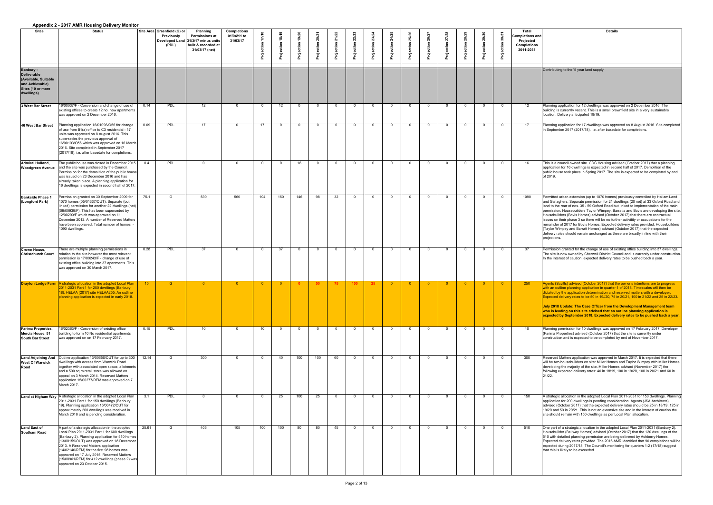|                                                                                                                      | Appendix 2 - 2017 AMIN HOUSING Delivery Monitor                                                                                                                                                                                                                                                                                                                                                                          |       |                                                           |                                                                                                                         |                                               |     |     |     |     |                 |                 |                |                |                |                |       |     |          |                                                                                               |                                                                                                                                                                                                                                                                                                                                                                                                                                                                                                                                                                                                                                                                                                                                                                                                            |
|----------------------------------------------------------------------------------------------------------------------|--------------------------------------------------------------------------------------------------------------------------------------------------------------------------------------------------------------------------------------------------------------------------------------------------------------------------------------------------------------------------------------------------------------------------|-------|-----------------------------------------------------------|-------------------------------------------------------------------------------------------------------------------------|-----------------------------------------------|-----|-----|-----|-----|-----------------|-----------------|----------------|----------------|----------------|----------------|-------|-----|----------|-----------------------------------------------------------------------------------------------|------------------------------------------------------------------------------------------------------------------------------------------------------------------------------------------------------------------------------------------------------------------------------------------------------------------------------------------------------------------------------------------------------------------------------------------------------------------------------------------------------------------------------------------------------------------------------------------------------------------------------------------------------------------------------------------------------------------------------------------------------------------------------------------------------------|
| <b>Sites</b>                                                                                                         | <b>Status</b>                                                                                                                                                                                                                                                                                                                                                                                                            |       | Site Area Greenfield (G) or<br><b>Previously</b><br>(PDL) | <b>Planning</b><br><b>Permissions at</b><br>Developed Land 31/3/17 minus units<br>built & recorded at<br>31/03/17 (net) | <b>Completions</b><br>01/04/11 to<br>31/03/17 |     |     |     |     |                 |                 |                |                |                |                |       |     |          | <b>Total</b><br><b>Completions and</b><br><b>Projected</b><br><b>Completions</b><br>2011-2031 | <b>Details</b>                                                                                                                                                                                                                                                                                                                                                                                                                                                                                                                                                                                                                                                                                                                                                                                             |
| <b>Banbury -</b><br><b>Deliverable</b><br>(Available, Suitable<br>and Achievable)<br>Sites (10 or more<br>dwellings) |                                                                                                                                                                                                                                                                                                                                                                                                                          |       |                                                           |                                                                                                                         |                                               |     |     |     |     |                 |                 |                |                |                |                |       |     |          |                                                                                               | Contributing to the '5 year land supply'                                                                                                                                                                                                                                                                                                                                                                                                                                                                                                                                                                                                                                                                                                                                                                   |
| 3 West Bar Street                                                                                                    | 16/00037/F - Conversion and change of use of<br>existing offices to create 12 no. new apartments<br>was approved on 2 December 2016.                                                                                                                                                                                                                                                                                     | 0.14  | <b>PDL</b>                                                | 12 <sup>1</sup>                                                                                                         | $\Omega$                                      |     | 12  |     | റ   |                 | റ               | $\cap$         |                |                | $\overline{0}$ |       |     | $\Omega$ | 12 <sup>2</sup>                                                                               | Planning application for 12 dwellings was approved on 2 December 2016. The<br>building is currently vacant. This is a small brownfield site in a very sustainable<br>location. Delivery anticipated 18/19.                                                                                                                                                                                                                                                                                                                                                                                                                                                                                                                                                                                                 |
| 46 West Bar Street                                                                                                   | Planning application 16/01096/O56 for change<br>of use from B1(a) office to C3 residential - 17<br>units was approved on 8 August 2016. This<br>supersedes the previous approval of<br>16/00103/O56 which was approved on 16 March<br>2016. Site completed in September 2017<br>(2017/18). i.e. after basedate for completions.                                                                                          | 0.09  | <b>PDL</b>                                                | 17                                                                                                                      | $\Omega$                                      | 17  |     |     | റ   |                 | റ               | റ              |                | $\cap$         | $\overline{0}$ |       |     | $\Omega$ | 17                                                                                            | Planning application for 17 dwellings was approved on 8 August 2016. Site completed<br>in September 2017 (2017/18). i.e. after basedate for completions.                                                                                                                                                                                                                                                                                                                                                                                                                                                                                                                                                                                                                                                   |
| <b>Admiral Holland,</b>                                                                                              | The public house was closed in December 2015<br><b>Woodgreen Avenue</b> and the site was purchased by the Council.<br>Permission for the demolition of the public house<br>was issued on 23 December 2016 and has<br>already taken place. A planning application for<br>16 dwellings is expected in second half of 2017.                                                                                                 | 0.4   | <b>PDL</b>                                                |                                                                                                                         |                                               |     |     | 16  |     |                 |                 |                |                |                | $\Omega$       |       |     |          | 16                                                                                            | This is a council owned site. CDC Housing advised (October 2017) that a planning<br>application for 16 dwellings is expected in second half of 2017. Demolition of the<br>public house took place in Spring 2017. The site is expected to be completed by end<br>of 2019                                                                                                                                                                                                                                                                                                                                                                                                                                                                                                                                   |
| <b>Bankside Phase 1</b><br>(Longford Park)                                                                           | Permission granted on 30 September 2009 for<br>1070 homes (05/01337/OUT). Separate (but<br>linked) permission for another 22 dwellings (net)<br>(09/00939/F). This has been superseded by<br>12/00290/F which was approved on 11<br>December 2012. A number of Reserved Matters<br>have been approved. Total number of homes<br>1090 dwellings.                                                                          | 75.1  | G                                                         | 530                                                                                                                     | 560                                           | 104 | 150 | 146 | 98  | 32 <sup>°</sup> | $\Omega$        |                |                |                | $\overline{0}$ |       |     |          | 1090                                                                                          | Permitted urban extension (up to 1070 homes) previously controlled by Hallam Land<br>and Gallaghers. Separate permission for 21 dwellings (20 net) at 33 Oxford Road and<br>lland to the rear of nos. 35 - 59 Oxford Road but linked to implementation of the main<br>permission. Housebuilders Taylor Wimpey, Barratts and Bovis are developing the site.<br>Housebuilders (Bovis Homes) advised (October 2017) that there are contractual<br>issues on their phase 3 so there will be no further activitity or occupations for the<br>remainder of 2017 for Bovis Homes. Expected delivery rates provided. Housebuilders<br>(Taylor Wimpey and Barratt Homes) advised (October 2017) that the expected<br>delivery rates should remain unchanged as these are broadly in line with their<br>projections. |
| <b>Crown House,</b><br><b>Christchurch Court</b>                                                                     | There are multiple planning permissions in<br>relation to the site however the most relevant<br>permission is 17/00243/F - change of use of<br>existing office building into 37 apartments. This<br>was approved on 30 March 2017.                                                                                                                                                                                       | 0.28  | <b>PDL</b>                                                | 37                                                                                                                      | $\Omega$                                      |     | .37 |     | _റ  |                 | _റ              | റ              |                | $\Omega$       | $\overline{0}$ |       |     | $\Omega$ | 37                                                                                            | Permission granted for the change of use of existing office building into 37 dwellings.<br>The site is now owned by Cherwell District Council and is currently under construction.<br>In the interest of caution, expected delivery rates to be pushed back a year.                                                                                                                                                                                                                                                                                                                                                                                                                                                                                                                                        |
|                                                                                                                      | Drayton Lodge Farm   A strategic allocation in the adopted Local Plan<br>2011-2031 Part 1 for 250 dwellings (Banbury<br>18). HELAA (2017) site HELAA255. An outline<br>planning application is expected in early 2018.                                                                                                                                                                                                   | 15    | G                                                         | ം വ                                                                                                                     | $\overline{0}$                                | - റ | - റ |     |     | 75              | 25 <sub>2</sub> | $\overline{0}$ | $\overline{0}$ | $\overline{0}$ | $\overline{0}$ | - 0 - | ി വ | _റ_      | 250                                                                                           | Agents (Savills) advised (October 2017) that the owner's intentions are to progress<br>with an outline planning application in quarter 1 of 2018. Timescales will then be<br>dictated by the application determination and reserved matters with a developer.<br>Expected delivery rates to be 50 in 19//20, 75 in 20/21, 100 in 21/22 and 25 in 22/23.<br>July 2018 Update: The Case Officer from the Development Management team<br>who is leading on this site advised that an outline planning application is<br>expected by September 2018. Expected delivery rates to be pushed back a year.                                                                                                                                                                                                         |
| <b>Farima Properties,</b><br>Mercia House, 51<br><b>South Bar Street</b>                                             | 6/02363/F - Conversion of existing office<br>building to form 10 No residential apartments<br>was approved on on 17 February 2017.                                                                                                                                                                                                                                                                                       | 0.15  | <b>PDL</b>                                                | 10 <sup>1</sup>                                                                                                         | $\Omega$                                      | 10  |     |     |     |                 |                 |                |                |                | $\Omega$       |       |     | $\Omega$ | 10                                                                                            | Planning permission for 10 dwellings was approved on 17 February 2017. Developer<br>(Farima Properties) advised (October 2017) that the site is currently under<br>construction and is expected to be completed by end of November 2017.                                                                                                                                                                                                                                                                                                                                                                                                                                                                                                                                                                   |
| <b>West Of Warwick</b><br>Road                                                                                       | Land Adjoining And   Outline application 13/00656/OUT for up to 300<br>dwellings with access from Warwick Road<br>together with associated open space, allotments<br>and a 500 sq m retail store was allowed on<br>appeal on 3 March 2014. Reserved Matters<br>application 15/00277/REM was approved on 7<br>March 2017.                                                                                                 | 12.14 |                                                           | 300                                                                                                                     |                                               |     | 40  | 100 | 100 | 60              |                 |                |                |                | $\Omega$       |       |     |          | 300                                                                                           | Reserved Matters application was approved in March 2017. It is expected that there<br>will be two housebuilders on site: Miller Homes and Taylor Wimpey with Miller Homes<br>developing the majority of the site. Miller Homes advised (November 2017) the<br>following expected delivery rates: 40 in 18/19, 100 in 19/20, 100 in 20/21 and 60 in<br>21/22                                                                                                                                                                                                                                                                                                                                                                                                                                                |
|                                                                                                                      | Land at Higham Way   A strategic allocation in the adopted Local Plan<br>2011-2031 Part 1 for 150 dwellings (Banbury<br>19). Planning application 16/00472/OUT for<br>approximately 200 dwellings was received in<br>March 2016 and is pending consideration.                                                                                                                                                            | 3.1   | <b>PDL</b>                                                |                                                                                                                         |                                               |     | 25  | 100 | -25 |                 |                 |                |                |                | $\Omega$       |       |     |          | 150                                                                                           | A strategic allocation in the adopted Local Plan 2011-2031 for 150 dwellings. Planning<br>application for 200 dwellings is pending consideration. Agents (JSA Architects)<br>advised (October 2017) that the expected delivery rates should be 25 in 18/19, 125 in<br>19/20 and 50 in 20/21. This is not an extensive site and in the interest of caution the<br>site should remain with 150 dwellings as per Local Plan allocation.                                                                                                                                                                                                                                                                                                                                                                       |
| <b>Land East of</b><br><b>Southam Road</b>                                                                           | A part of a strategic allocation in the adopted<br>Local Plan 2011-2031 Part 1 for 600 dwellings<br>(Banbury 2). Planning application for 510 homes<br>(13/00159/OUT) was approved on 18 December<br>2013. A Reserved Matters application<br>(14/02140/REM) for the first 98 homes was<br>approved on 17 July 2015. Reserved Matters<br>$(15/00961/REM)$ for 412 dwellings (phase 2) was<br>approved on 23 October 2015. | 25.61 | G                                                         | 405                                                                                                                     | 105                                           | 100 | 100 | 80  | -80 | 45              | റ               |                |                |                | $\Omega$       |       |     | - 0      | 510                                                                                           | One part of a strategic allocation in the adopted Local Plan 2011-2031 (Banbury 2).<br>Housebuilder (Bellway Homes) advised (October 2017) that the 120 dwellings of the<br>510 with detailed planning permission are being delivered by Ashberry Homes.<br>Expected delivery rates provided. The 2016 AMR identified that 90 completions will be<br>expected during 2017/18. The Council's monitoring for quarters 1-2 (17/18) suggest<br>that this is likely to be exceeded.                                                                                                                                                                                                                                                                                                                             |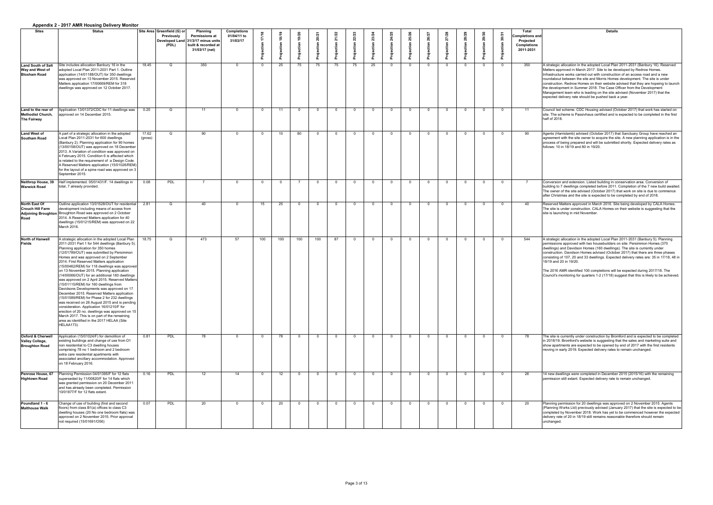|                                                                                 | <b>Appendix 2 - 2017 AMR Housing Delivery Monitor</b>                                                                                                                                                                                                                                                                                                                                                                                                                                                                                                                                                                                                                                                                                                                                                                                                                                                                          |                  |                                                           |                                                                                                                         |                                               |                  |                 |      |     |     |    |          |          |        |        |                |     |                |                                                                                        |                                                                                                                                                                                                                                                                                                                                                                                                                                                                                                                                                                                                                                    |
|---------------------------------------------------------------------------------|--------------------------------------------------------------------------------------------------------------------------------------------------------------------------------------------------------------------------------------------------------------------------------------------------------------------------------------------------------------------------------------------------------------------------------------------------------------------------------------------------------------------------------------------------------------------------------------------------------------------------------------------------------------------------------------------------------------------------------------------------------------------------------------------------------------------------------------------------------------------------------------------------------------------------------|------------------|-----------------------------------------------------------|-------------------------------------------------------------------------------------------------------------------------|-----------------------------------------------|------------------|-----------------|------|-----|-----|----|----------|----------|--------|--------|----------------|-----|----------------|----------------------------------------------------------------------------------------|------------------------------------------------------------------------------------------------------------------------------------------------------------------------------------------------------------------------------------------------------------------------------------------------------------------------------------------------------------------------------------------------------------------------------------------------------------------------------------------------------------------------------------------------------------------------------------------------------------------------------------|
| <b>Sites</b>                                                                    | <b>Status</b>                                                                                                                                                                                                                                                                                                                                                                                                                                                                                                                                                                                                                                                                                                                                                                                                                                                                                                                  |                  | Site Area Greenfield (G) or<br><b>Previously</b><br>(PDL) | <b>Planning</b><br><b>Permissions at</b><br>Developed Land 31/3/17 minus units<br>built & recorded at<br>31/03/17 (net) | <b>Completions</b><br>01/04/11 to<br>31/03/17 |                  | ၈               | 9/20 |     |     |    |          |          |        |        |                |     |                | <b>Total</b><br><b>Completions and</b><br>Projected<br><b>Completions</b><br>2011-2031 | <b>Details</b>                                                                                                                                                                                                                                                                                                                                                                                                                                                                                                                                                                                                                     |
| <b>Land South of Salt</b><br><b>Way and West of</b><br><b>Bloxham Road</b>      | Site includes allocation Banbury 16 in the<br>adopted Local Plan 2011-2031 Part 1. Outline<br>application (14/01188/OUT) for 350 dwellings<br>was approved on 13 November 2015. Reserved<br>Matters application 17/00669/REM for 318<br>dwellings was approved on 12 October 2017.                                                                                                                                                                                                                                                                                                                                                                                                                                                                                                                                                                                                                                             | 18.45            | G                                                         | 350                                                                                                                     | $\Omega$                                      |                  | 25              | 75   |     | 75  | 75 | 25       |          |        |        | $\Omega$       |     |                | 350                                                                                    | A strategic allocation in the adopted Local Plan 2011-2031 (Banbury 16). Reserved<br>Matters approved in March 2017. Site to be developed by Redrow Homes.<br>Infrastructure works carried out with construction of an access road and a new<br>roundabout between the site and Morris Homes development. The site is under<br>construction. Redrow Homes on their website advised that they are hopeing to launch<br>the development in Summer 2018. The Case Officer from the Development<br>Management team who is leading on the site advised (November 2017) that the<br>expected delivery rate should be pushed back a year. |
| Land to the rear of<br><b>Methodist Church,</b><br><b>The Fairway</b>           | Application 13/01372/CDC for 11 dwellings was<br>approved on 14 December 2015.                                                                                                                                                                                                                                                                                                                                                                                                                                                                                                                                                                                                                                                                                                                                                                                                                                                 | 0.25             | G                                                         | 11                                                                                                                      | $\Omega$                                      |                  | 11              |      | - റ |     |    | . വ      | റ        |        | റ      | $\overline{0}$ |     | $\overline{0}$ | 11                                                                                     | Council led scheme. CDC Housing advised (October 2017) that work has started on<br>site. The scheme is Passivhaus certified and is expected to be completed in the first<br>half of 2018.                                                                                                                                                                                                                                                                                                                                                                                                                                          |
| <b>Land West of</b><br><b>Southam Road</b>                                      | A part of a strategic allocation in the adopted<br>Local Plan 2011-2031 for 600 dwellings<br>(Banbury 2). Planning application for 90 homes<br>(13/00158/OUT) was approved on 18 December<br>2013. A Variation of condition was approved on<br>4 February 2015. Condition 6 is affected which<br>is related to the requirement of a Design Code.<br>A Reserved Matters application (15/01026/REM)<br>for the layout of a spine road was approved on 3<br>September 2015.                                                                                                                                                                                                                                                                                                                                                                                                                                                       | 17.62<br>(gross) | G                                                         | 90                                                                                                                      | $\Omega$                                      |                  | 10              | 80   | - റ |     |    | $\Omega$ | $\cap$   |        | $\cap$ | $\overline{0}$ |     | $\Omega$       | 90                                                                                     | Agents (Harrislamb) advised (October 2017) that Sanctuary Group have reached an<br>agreement with the site owner to acquire the site. A new planning application is in the<br>process of being prepared and will be submitted shortly. Expected delivery rates as<br>follows: 10 in 18/19 and 80 in 19/20.                                                                                                                                                                                                                                                                                                                         |
| <b>Warwick Road</b>                                                             | Neithrop House, 39 Half implemented. 05/01431/F. 14 dwellings in<br>total, 7 already provided.                                                                                                                                                                                                                                                                                                                                                                                                                                                                                                                                                                                                                                                                                                                                                                                                                                 | 0.08             | <b>PDL</b>                                                |                                                                                                                         | $\Omega$                                      | റ                |                 |      | _ റ |     |    | $\Omega$ | $\Omega$ | $\cap$ | റ      | $\overline{0}$ | - 0 | $\Omega$       |                                                                                        | Conversion and extension. Listed building in conservation area. Conversion of<br>building to 7 dwellings completed before 2011. Completion of the 7 new build awaited.<br>The owner of the site advised (October 2017) that work on site is due to commence<br>after Christmas and the site is expected to be completed by end of 2018.                                                                                                                                                                                                                                                                                            |
| North East Of<br><b>Crouch Hill Farm</b><br><b>Adjoining Broughton</b><br>Road  | Outline application 13/01528/OUT for residential<br>development including means of access from<br>Broughton Road was approved on 2 October<br>2014. A Reserved Matters application for 40<br>dwellings (15/01215/REM) was approved on 22<br>March 2016                                                                                                                                                                                                                                                                                                                                                                                                                                                                                                                                                                                                                                                                         | 2.81             | G                                                         | 40                                                                                                                      | -0                                            | 15               | 25              |      | റ   | - വ |    | . വ      | - റ      |        | റ      | $\Omega$       |     | $\Omega$       | 40                                                                                     | Reserved Matters approved in March 2016. Site being developed by CALA Homes.<br>The site is under construction. CALA Homes on their website is suggesting that the<br>site is launching in mid November.                                                                                                                                                                                                                                                                                                                                                                                                                           |
| North of Hanwell<br>Fields                                                      | A strategic allocation in the adopted Local Plan<br>2011-2031 Part 1 for 544 dwellings (Banbury 5).<br>Planning application for 350 homes<br>(12/01789/OUT) was submitted by Persimmon<br>Homes and was approved on 2 September<br>2014. First Reserved Matters application<br>(15/00462/REM) for 118 dwellings was approved<br>on 13 November 2015. Planning application<br>14/00066/OUT) for an additional 160 dwellings<br>was approved on 2 April 2015. Reserved Matters<br>(15/01115/REM) for 160 dwellings from<br>Davidsons Developments was approved on 17<br>December 2015. Reserved Matters application<br>(15/01589/REM) for Phase 2 for 232 dwellings<br>was received on 26 August 2015 and is pending<br>consideration. Application 16/01210/F for<br>erection of 20 no. dwellings was approved on 15<br>March 2017. This is on part of the remaining<br>area as identified in the 2017 HELAA (Site<br>HELAA173). | 18.75            | G                                                         | 473                                                                                                                     | 57                                            | 100 <sub>1</sub> | 100             | 100  | 100 | -87 |    | _റ       |          |        |        | $\Omega$       |     | $\Omega$       | 544                                                                                    | A strategic allocation in the adopted Local Plan 2011-2031 (Banbury 5). Planning<br>permissions approved with two housebuilders on site: Persimmon Homes (370<br>dwellings) and Davidson Homes (160 dwellings). The site is currently under<br>construction. Davidson Homes advised (October 2017) that there are three phases<br>consisting of 107, 20 and 33 dwellings. Expected delivery rates are: 35 in 17/18, 48 in<br>18/19 and 20 in 19/20.<br>The 2016 AMR identified 100 completions will be expected during 2017/18. The<br>Council's monitoring for quarters 1-2 (17/18) suggest that this is likely to be achieved.   |
| <b>Oxford &amp; Cherwell</b><br><b>Valley College,</b><br><b>Broughton Road</b> | Application (15/01024/F) for demolition of<br>existing buildings and change of use from D1<br>non residential to C3 dwelling houses<br>comprising 78 no 1 bedroom and 2 bedroom<br>extra care residential apartments with<br>associated ancillary accommodation. Approved<br>on 18 February 2016.                                                                                                                                                                                                                                                                                                                                                                                                                                                                                                                                                                                                                              | 0.81             | <b>PDL</b>                                                | 78                                                                                                                      |                                               |                  | 78              |      |     |     |    |          |          |        |        | $\Omega$       |     |                | 78                                                                                     | The site is currently under construction by Bromford and is expected to be completed<br>in 2018/19. Bromford's website is suggesting that the sales and marketing suite and<br>show apartments are expected to be opened by end of 2017 with the first residents<br>moving in early 2019. Expected delivery rates to remain unchanged.                                                                                                                                                                                                                                                                                             |
| <b>Penrose House, 67</b><br><b>Hightown Road</b>                                | Planning Permission 04/01395/F for 12 flats<br>superseded by 11/00820/F for 14 flats which<br>was granted permission on 20 December 2011<br>and has already been completed. Permission<br>10/01877/F for 12 flats extant.                                                                                                                                                                                                                                                                                                                                                                                                                                                                                                                                                                                                                                                                                                      | 0.16             | <b>PDL</b>                                                | 12 <sup>2</sup>                                                                                                         | 14                                            |                  | 12 <sup>1</sup> |      |     |     |    | . വ      |          |        |        | $\Omega$       |     |                | 26                                                                                     | 14 new dwellings were completed in December 2015 (2015/16) with the remaining<br>permission still extant. Expected delivery rate to remain unchanged.                                                                                                                                                                                                                                                                                                                                                                                                                                                                              |
| Poundland 1 - 6<br><b>Malthouse Walk</b>                                        | Change of use of building (first and second<br>floors) from class B1(a) offices to class C3<br>dwelling houses (20 No one bedroom flats) was<br>approved on 2 November 2015. Prior approval<br>not required (15/01691/O56)                                                                                                                                                                                                                                                                                                                                                                                                                                                                                                                                                                                                                                                                                                     | 0.07             | <b>PDL</b>                                                | 20                                                                                                                      |                                               |                  | 20              |      |     |     |    |          |          |        |        | - റ            |     |                | 20                                                                                     | Planning permission for 20 dwellings was approved on 2 November 2015. Agents<br>(Planning Works Ltd) previously advised (January 2017) that the site is expected to be<br>completed by November 2018. Work has yet to be commenced however the expected<br>delivery rate of 20 in 18/19 still remains reasonable therefore should remain<br>unchanged.                                                                                                                                                                                                                                                                             |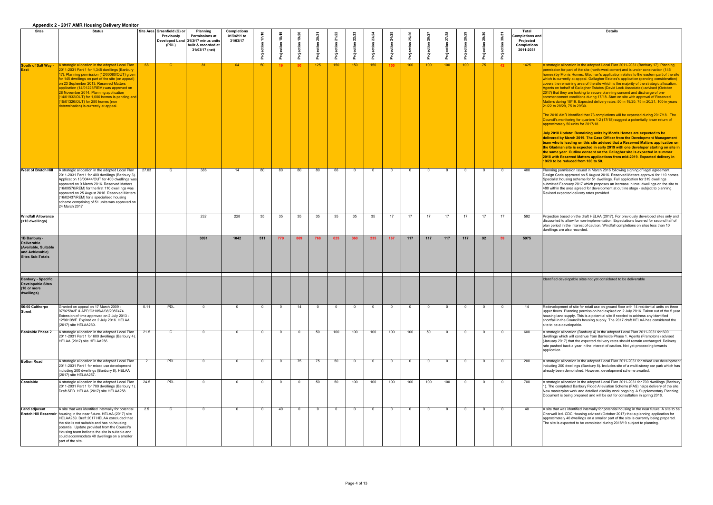|                                                                                                          | <b>Appendix 2 - 2017 AMIN Housing Denvery Monitor</b>                                                                                                                                                                                                                                                                                                                                                                                                                       |       |                                                           |                                                                                                                         |                                               |                 |                 |                 |          |     |                  |          |                |                  |                  |                |                  |     |                |                                                                                               |                                                                                                                                                                                                                                                                                                                                                                                                                                                                                                                                                                                                                                                                                                                                                                                                                                                                                                                                                                                 |
|----------------------------------------------------------------------------------------------------------|-----------------------------------------------------------------------------------------------------------------------------------------------------------------------------------------------------------------------------------------------------------------------------------------------------------------------------------------------------------------------------------------------------------------------------------------------------------------------------|-------|-----------------------------------------------------------|-------------------------------------------------------------------------------------------------------------------------|-----------------------------------------------|-----------------|-----------------|-----------------|----------|-----|------------------|----------|----------------|------------------|------------------|----------------|------------------|-----|----------------|-----------------------------------------------------------------------------------------------|---------------------------------------------------------------------------------------------------------------------------------------------------------------------------------------------------------------------------------------------------------------------------------------------------------------------------------------------------------------------------------------------------------------------------------------------------------------------------------------------------------------------------------------------------------------------------------------------------------------------------------------------------------------------------------------------------------------------------------------------------------------------------------------------------------------------------------------------------------------------------------------------------------------------------------------------------------------------------------|
| <b>Sites</b>                                                                                             | <b>Status</b>                                                                                                                                                                                                                                                                                                                                                                                                                                                               |       | Site Area Greenfield (G) or<br><b>Previously</b><br>(PDL) | <b>Planning</b><br><b>Permissions at</b><br>Developed Land 31/3/17 minus units<br>built & recorded at<br>31/03/17 (net) | <b>Completions</b><br>01/04/11 to<br>31/03/17 |                 |                 |                 |          |     |                  |          | $\Omega$       |                  |                  |                |                  |     | $\mathbf{a}$   | <b>Total</b><br><b>Completions and</b><br><b>Projected</b><br><b>Completions</b><br>2011-2031 | <b>Details</b>                                                                                                                                                                                                                                                                                                                                                                                                                                                                                                                                                                                                                                                                                                                                                                                                                                                                                                                                                                  |
| <b>South of Salt Way -</b><br><b>East</b>                                                                | A strategic allocation in the adopted Local Plan<br>2011-2031 Part 1 for 1,345 dwellings (Banbury<br>17). Planning permission (12/00080/OUT) given<br>for 145 dwellings on part of the site (on appeal)<br>on 23 September 2013. Reserved Matters<br>application (14/01225/REM) was approved on<br>28 November 2014. Planning application<br>$(14/01932/OUT)$ for 1,000 homes is pending and<br>(15/01326/OUT) for 280 homes (non<br>determination) is currently at appeal. | 68    | G                                                         | 81                                                                                                                      | 64                                            | 50 <sub>o</sub> | 19 <sup>°</sup> | 50 <sub>2</sub> | 125      | 150 | 150              | 150      | 150            | 100              | 100 <sub>1</sub> | 100            | 100 <sub>1</sub> | 75  | 42             | 1425                                                                                          | A strategic allocation in the adopted Local Plar<br>permission for part of the site (north-west corne<br>homes) by Morris Homes. Gladman's applicatio<br>which is currently at appeal. Gallagher Estates<br>covers the remaining area of the site which is t<br>Agents on behalf of Gallagher Estates (David L<br>2017) that they are looking to secure planning<br>commencement conditions during 17/18. Start<br>Matters during 18/19. Expected delivery rates:<br>21/22 to 28/29, 75 in 29/30.<br>The 2016 AMR identified that 73 completions v<br>Council's monitoring for quarters 1-2 (17/18) su<br>approximately 50 units for 2017/18.<br>July 2018 Update: Remaining units by Morri<br>delivered by March 2019. The Case Officer f<br>team who is leading on this site advised tha<br>the Gladman site is expected in early 2019 v<br>the same year. Outline consent on the Galla<br>2018 with Reserved Matters applications fro<br>19/20 to be reduced from 100 to 50. |
|                                                                                                          | <b>West of Bretch Hill</b> $\vert$ A strategic allocation in the adopted Local Plan<br>2011-2031 Part 1 for 400 dwellings (Banbury 3).<br>Application 13/00444/OUT for 400 dwellings was<br>approved on 9 March 2016. Reserved Matters<br>(16/00576/REM) for the first 110 dwellings was<br>approved on 25 August 2016. Reserved Matters<br>(16/02437/REM) for a specialised housing<br>scheme comprising of 51 units was approved on  <br>24 March 2017                    | 27.03 | G                                                         | 386                                                                                                                     | 14                                            | 80              | -80.            | 80              | 80       | 66  | _ റ              | $\cap$   | $\overline{0}$ | $\Omega$         | $\cap$           | $\overline{0}$ | $\cap$           | . വ | $\Omega$       | 400                                                                                           | Planning permission issued in March 2016 follo<br>Design Code approved on 5 August 2016. Res<br>Specialist housing scheme for 51 dwellings. Fu<br>submitted February 2017 which proposes an in<br>480 within the area agreed for development at<br>Revised expected delivery rates provided.                                                                                                                                                                                                                                                                                                                                                                                                                                                                                                                                                                                                                                                                                    |
| <b>Windfall Allowance</b><br>(<10 dwellings)                                                             |                                                                                                                                                                                                                                                                                                                                                                                                                                                                             |       |                                                           | 232                                                                                                                     | 228                                           | 35              | 35              | 35              | 35       | 35  | 35               | 35       | 17             | 17 <sup>2</sup>  | 17 <sup>2</sup>  | 17             | 17               | 17  | 17             | 592                                                                                           | Projection based on the draft HELAA (2017). F<br>discounted to allow for non-implementation. Ex<br>plan period in the interest of caution. Windfall of<br>dwellings are also recorded.                                                                                                                                                                                                                                                                                                                                                                                                                                                                                                                                                                                                                                                                                                                                                                                          |
| 1B Banbury -<br><b>Deliverable</b><br>(Available, Suitable<br>and Achievable)<br><b>Sites Sub-Totals</b> |                                                                                                                                                                                                                                                                                                                                                                                                                                                                             |       |                                                           | 3091                                                                                                                    | 1042                                          | 511             | 779             | 869             | 768      | 625 | 360              | 235      | 167            | 117              | 117              | 117            | 117              | 92  | 59             | 5975                                                                                          |                                                                                                                                                                                                                                                                                                                                                                                                                                                                                                                                                                                                                                                                                                                                                                                                                                                                                                                                                                                 |
| <b>Banbury - Specific,</b><br><b>Developable Sites</b><br>(10 or more<br>dwellings)                      |                                                                                                                                                                                                                                                                                                                                                                                                                                                                             |       |                                                           |                                                                                                                         |                                               |                 |                 |                 |          |     |                  |          |                |                  |                  |                |                  |     |                |                                                                                               | Identified developable sites not yet considered                                                                                                                                                                                                                                                                                                                                                                                                                                                                                                                                                                                                                                                                                                                                                                                                                                                                                                                                 |
| 56-60 Calthorpe<br><b>Street</b>                                                                         | Granted on appeal on 17 March 2009 -<br>07/02584/F & APP/C3105/A/08/2087474.<br>Extension of time approved on 2 July 2013 -<br>12/00198/F. Expired on 2 July 2016. HELAA<br>(2017) site HELAA260.                                                                                                                                                                                                                                                                           | 0.11  | PDL                                                       |                                                                                                                         |                                               | $\overline{0}$  |                 | 14              | $\Omega$ | - 0 |                  | $\Omega$ | - റ            |                  |                  |                |                  |     | $\overline{0}$ | 14                                                                                            | Redevelopment of site for retail use on ground<br>upper floors. Planning permission had expired<br>housing land supply. This is a potential site if no<br>shortfall in the Council's housing supply. The 2<br>site to be a developable.                                                                                                                                                                                                                                                                                                                                                                                                                                                                                                                                                                                                                                                                                                                                         |
| <b>Bankside Phase 2</b>                                                                                  | A strategic allocation in the adopted Local Plan<br>2011-2031 Part 1 for 600 dwellings (Banbury 4).<br>HELAA (2017) site HELAA256.                                                                                                                                                                                                                                                                                                                                          | 21.5  | G                                                         |                                                                                                                         |                                               | $\overline{0}$  |                 |                 | 50       | 100 | 100              | 100      | 100            | 100 <sub>1</sub> | 50               | - റ            | $\Omega$         |     | $\Omega$       | 600                                                                                           | A strategic allocation (Banbury 4) in the adopte<br>dwellings which will continue from Bankside Pr<br>(January 2017) that the expected delivery rates<br>rate pushed back a year in the interest of cauti<br>application                                                                                                                                                                                                                                                                                                                                                                                                                                                                                                                                                                                                                                                                                                                                                        |
| <b>Bolton Road</b>                                                                                       | A strategic allocation in the adopted Local Plan<br>2011-2031 Part 1 for mixed use development<br>including 200 dwellings (Banbury 8). HELAA<br>(2017) site HELAA257.                                                                                                                                                                                                                                                                                                       |       | <b>PDL</b>                                                |                                                                                                                         |                                               | $\overline{0}$  |                 | 75              | 75       | 50  |                  | $\Omega$ | - 0            |                  | $\Omega$         |                | - 0              |     | $\Omega$       | 200                                                                                           | A strategic allocation in the adopted Local Plar<br>including 200 dwellings (Banbury 8). Includes a<br>already been demolished. However, development                                                                                                                                                                                                                                                                                                                                                                                                                                                                                                                                                                                                                                                                                                                                                                                                                            |
| <b>Canalside</b>                                                                                         | A strategic allocation in the adopted Local Plan<br>2011-2031 Part 1 for 700 dwellings (Banbury 1).<br>Draft SPD. HELAA (2017) site HELAA258.                                                                                                                                                                                                                                                                                                                               | 24.5  | PDL                                                       |                                                                                                                         |                                               | $\overline{0}$  |                 |                 | 50       | 50  | 100 <sub>1</sub> | 100      | 100            | 100              | 100              | 100            | റ                |     | $\Omega$       | 700                                                                                           | A strategic allocation in the adopted Local Plar<br>1). The completed Banbury Flood Alleviation S<br>New masterplan work and detailed viability wor<br>Document is being prepared and will be out for                                                                                                                                                                                                                                                                                                                                                                                                                                                                                                                                                                                                                                                                                                                                                                           |
| Land adjacent                                                                                            | A site that was identified internally for potential<br>Bretch Hill Reservoir   housing in the near future. HELAA (2017) site<br>HELAA259. Draft 2017 HELAA concluded that<br>the site is not suitable and has no housing<br>potential. Update provided from the Council's<br>Housing team indicate the site is suitable and<br>could accommodate 40 dwellings on a smaller<br>part of the site.                                                                             | 2.5   | G                                                         |                                                                                                                         |                                               | $\overline{0}$  | 40              |                 | $\Omega$ |     |                  | $\Omega$ | - 0            |                  | $\Omega$         |                |                  |     | $\Omega$       | 40                                                                                            | A site that was identified internally for potential<br>Cherwell led. CDC Housing advised (October 2<br>approximately 40 dwellings on a smaller part of<br>The site is expected to be completed during 20                                                                                                                                                                                                                                                                                                                                                                                                                                                                                                                                                                                                                                                                                                                                                                        |

the adopted Local Plan 2011-2031 (Banbury 17). Planning e site (north-west corner) and is under construction (145 s. Gladman's application relates to the eastern part of the site beal. Gallagher Estates's application (pending consideration) covers the site which is the majority of the strategic allocation. lagher Estates (David Lock Associates) advised (October 2015) that they denote that they consent and discharge of preons during 17/18. Start on site with approval of Reserved xpected delivery rates: 50 in 19/20, 75 in 20/21, 100 in years

d that 73 completions will be expected during 2017/18. The quarters 1-2 (17/18) suggest a potentially lower return of for 2017/18.

**<u>Aaining units by Morris Homes are expected to be</u> 19. The Case Officer from the Development Management n this site advised that a Reserved Matters application on the Sladware in early 2019 with one developer starting on site in consent on the Gallagher site is expected in summer 2018 with Reserved Matters applications from mid-2019. Expected delivery in 100 to 50.** 

sued in March 2016 following signing of legal agreement. I on 5 August 2016. Reserved Matters approval for 110 homes. eme for 51 dwellings. Full application for 319 dwellings. 17 which proposes an increase in total dwellings on the site to eed for development at outline stage - subject to planning. ery rates provided.

*3* draft HELAA (2017). For previously developed sites only and non-implementation. Expectations lowered for second half of est of caution. Windfall completions on sites less than 10 rded.

ites not yet considered to be deliverable

for retail use on ground floor with 14 residential units on three bermission had expired on 2 July 2016. Taken out of the 5 year his is a potential site if needed to address any identified shousing supply. The 2017 draft HELAA has considered the

anbury 4) in the adopted Local Plan 2011-2031 for 600 ntinue from Bankside Phase 1. Agents (Framptons) advised expected delivery rates should remain unchanged. Delivery r in the interest of caution. Not yet proceeding towards

the adopted Local Plan 2011-2031 for mixed use development (Banbury 8). Includes site of a multi-storey car park which has ed. However, development scheme awaited.

the adopted Local Plan 2011-2031 for 700 dwellings (Banbury bury Flood Alleviation Scheme (FAS) helps delivery of the site. nd detailed viability work ongoing. A Supplementary Planning pared and will be out for consultation in spring 2018.

d internally for potential housing in the near future. A site to be sing advised (October 2017) that a planning application for ings on a smaller part of the site is currently being prepared. be completed during 2018/19 subject to planning.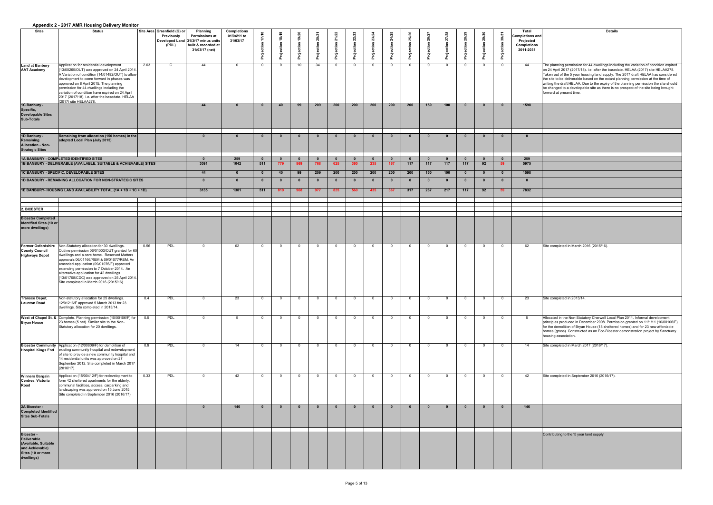| <b>Details</b>                                                                                                                                                        |
|-----------------------------------------------------------------------------------------------------------------------------------------------------------------------|
|                                                                                                                                                                       |
|                                                                                                                                                                       |
|                                                                                                                                                                       |
| The planning permission for 44 dwellings including the variation of condition expired                                                                                 |
| on 24 April 2017 (2017/18). i.e. after the basedate. HELAA (2017) site HELAA278.                                                                                      |
| Taken out of the 5 year housing land supply. The 2017 draft HELAA has considered<br>the site to be deliverable based on the extant planning permission at the time of |
| writing the draft HELAA. Due to the expiry of the planning permission the site should                                                                                 |
| be changed to a developable site as there is no prospect of the site being brought<br>forward at present time.                                                        |
|                                                                                                                                                                       |
|                                                                                                                                                                       |
|                                                                                                                                                                       |
|                                                                                                                                                                       |
|                                                                                                                                                                       |
|                                                                                                                                                                       |
|                                                                                                                                                                       |
|                                                                                                                                                                       |
|                                                                                                                                                                       |
|                                                                                                                                                                       |
|                                                                                                                                                                       |
|                                                                                                                                                                       |
|                                                                                                                                                                       |
|                                                                                                                                                                       |
|                                                                                                                                                                       |
|                                                                                                                                                                       |
|                                                                                                                                                                       |
|                                                                                                                                                                       |
|                                                                                                                                                                       |
|                                                                                                                                                                       |
|                                                                                                                                                                       |
| Site completed in March 2016 (2015/16).                                                                                                                               |
|                                                                                                                                                                       |
|                                                                                                                                                                       |
|                                                                                                                                                                       |
|                                                                                                                                                                       |
|                                                                                                                                                                       |
|                                                                                                                                                                       |
| Site completed in 2013/14.                                                                                                                                            |
|                                                                                                                                                                       |
|                                                                                                                                                                       |
| Allocated in the Non-Statutory Cherwell Local Plan 2011. Informal development                                                                                         |
| principles produced in December 2008. Permission granted on 11/1/11 (10/00106/F)<br>for the demolition of Bryan House (18 sheltered homes) and for 23 new affordable  |
| homes (gross). Constructed as an Eco-Bicester demonstration project by Sanctuary                                                                                      |
| housing association.                                                                                                                                                  |
| Site completed in March 2017 (2016/17).                                                                                                                               |
|                                                                                                                                                                       |
|                                                                                                                                                                       |
|                                                                                                                                                                       |
| Site completed in September 2016 (2016/17).                                                                                                                           |
|                                                                                                                                                                       |
|                                                                                                                                                                       |
|                                                                                                                                                                       |
|                                                                                                                                                                       |
|                                                                                                                                                                       |
|                                                                                                                                                                       |
|                                                                                                                                                                       |
| Contributing to the '5 year land supply'                                                                                                                              |
|                                                                                                                                                                       |
|                                                                                                                                                                       |
|                                                                                                                                                                       |
|                                                                                                                                                                       |

|                                                                                                                       | <b>Appendix 2 - 2017 AMIN Housing Denvery Monitor</b>                                                                                                                                                                                                                                                                                                                                                                       |      |                                                                             |                                                                                                          |                                               |                     |            |                 |     |          |                |                |                     |          |                |                              |                |                |    |                                                                                 |                                                                                                                                                                                                                                                                                                                                                                                                                                                                                                                                                               |
|-----------------------------------------------------------------------------------------------------------------------|-----------------------------------------------------------------------------------------------------------------------------------------------------------------------------------------------------------------------------------------------------------------------------------------------------------------------------------------------------------------------------------------------------------------------------|------|-----------------------------------------------------------------------------|----------------------------------------------------------------------------------------------------------|-----------------------------------------------|---------------------|------------|-----------------|-----|----------|----------------|----------------|---------------------|----------|----------------|------------------------------|----------------|----------------|----|---------------------------------------------------------------------------------|---------------------------------------------------------------------------------------------------------------------------------------------------------------------------------------------------------------------------------------------------------------------------------------------------------------------------------------------------------------------------------------------------------------------------------------------------------------------------------------------------------------------------------------------------------------|
| Sites                                                                                                                 | <b>Status</b>                                                                                                                                                                                                                                                                                                                                                                                                               |      | Site Area Greenfield (G) or<br><b>Previously</b><br>Developed Land<br>(PDL) | <b>Planning</b><br><b>Permissions at</b><br>31/3/17 minus units<br>built & recorded at<br>31/03/17 (net) | <b>Completions</b><br>01/04/11 to<br>31/03/17 | $\frac{8}{1}$       |            |                 |     |          | 22/            |                |                     |          |                | 7/28<br>$\mathbf{\tilde{N}}$ |                |                |    | Total<br>completions and<br><b>Projected</b><br><b>Completions</b><br>2011-2031 | <b>Details</b>                                                                                                                                                                                                                                                                                                                                                                                                                                                                                                                                                |
| <b>Land at Banbury</b><br><b>AAT Academy</b>                                                                          | Application for residential development<br>(13/00265/OUT) was approved on 24 April 2014.<br>A Variation of condition (14/01482/OUT) to allow<br>development to come forward in phases was<br>approved on 8 April 2015. The planning<br>permission for 44 dwellings including the<br>variation of condition have expired on 24 April<br>2017 (2017/18). i.e. after the basedate. HELAA<br>(2017) site HELAA278               | 2.03 | G                                                                           | 44                                                                                                       | - 0                                           | $\overline{0}$      | n          | 10 <sup>1</sup> | 34  |          | $\overline{0}$ | $\overline{0}$ | - 0                 | - 0      |                |                              | - 0            | $\Omega$       |    | 44                                                                              | The planning permission for 44 dwellings including the variation of condition expired<br>on 24 April 2017 (2017/18). i.e. after the basedate. HELAA (2017) site HELAA278.<br>Taken out of the 5 year housing land supply. The 2017 draft HELAA has considered<br>the site to be deliverable based on the extant planning permission at the time of<br>writing the draft HELAA. Due to the expiry of the planning permission the site should<br>be changed to a developable site as there is no prospect of the site being brought<br>forward at present time. |
| 1C Banbury -<br>Specific,<br><b>Developable Sites</b><br><b>Sub-Totals</b>                                            |                                                                                                                                                                                                                                                                                                                                                                                                                             |      |                                                                             | 44                                                                                                       |                                               |                     | $\Delta$ 0 |                 | 209 | 200      | 200            | 200            | 200                 | 200      | 150            | 100                          |                |                |    | 1598                                                                            |                                                                                                                                                                                                                                                                                                                                                                                                                                                                                                                                                               |
| 1D Banbury -<br>Remaining<br><b>Allocation - Non-</b><br><b>Strategic Sites</b>                                       | Remaining from allocation (150 homes) in the $ $<br>adopted Local Plan (July 2015)                                                                                                                                                                                                                                                                                                                                          |      |                                                                             |                                                                                                          |                                               |                     |            |                 |     |          |                |                | $\mathbf{0}$        |          |                |                              |                |                |    |                                                                                 |                                                                                                                                                                                                                                                                                                                                                                                                                                                                                                                                                               |
|                                                                                                                       | 1A BANBURY - COMPLETED IDENTIFIED SITES<br>1B BANBURY - DELIVERABLE (AVAILABLE, SUITABLE & ACHIEVABLE) SITES                                                                                                                                                                                                                                                                                                                |      |                                                                             | 3091                                                                                                     | 259<br>1042                                   | $\mathbf{0}$<br>511 | 779        |                 |     | 625      | <b>360</b>     | 235            | $\mathbf{0}$<br>167 | 117      | 117            | 117                          | 117            | 92             | 59 | 259<br>5975                                                                     |                                                                                                                                                                                                                                                                                                                                                                                                                                                                                                                                                               |
|                                                                                                                       | 1C BANBURY - SPECIFIC, DEVELOPABLE SITES                                                                                                                                                                                                                                                                                                                                                                                    |      |                                                                             | 44                                                                                                       |                                               |                     | -40        | 99              | 209 | 200      | 200            | 200            | 200                 | 200      | 150            | 100                          |                |                |    | 1598                                                                            |                                                                                                                                                                                                                                                                                                                                                                                                                                                                                                                                                               |
|                                                                                                                       | 1D BANBURY - REMAINING ALLOCATION FOR NON-STRATEGIC SITES                                                                                                                                                                                                                                                                                                                                                                   |      |                                                                             |                                                                                                          |                                               | -0                  |            |                 |     |          |                |                | - 0                 |          |                |                              |                |                |    |                                                                                 |                                                                                                                                                                                                                                                                                                                                                                                                                                                                                                                                                               |
|                                                                                                                       | 1E BANBURY- HOUSING LAND AVAILABILITY TOTAL (1A + 1B + 1C + 1D)                                                                                                                                                                                                                                                                                                                                                             |      |                                                                             | 3135                                                                                                     | 1301                                          | 511                 | 819        | 968             | 977 | 825      | 560            | 435            | 367                 | 317      | 267            | 217                          | 117            | 92             | 59 | 7832                                                                            |                                                                                                                                                                                                                                                                                                                                                                                                                                                                                                                                                               |
| 2. BICESTER                                                                                                           |                                                                                                                                                                                                                                                                                                                                                                                                                             |      |                                                                             |                                                                                                          |                                               |                     |            |                 |     |          |                |                |                     |          |                |                              |                |                |    |                                                                                 |                                                                                                                                                                                                                                                                                                                                                                                                                                                                                                                                                               |
| <b>Bicester Completed</b>                                                                                             |                                                                                                                                                                                                                                                                                                                                                                                                                             |      |                                                                             |                                                                                                          |                                               |                     |            |                 |     |          |                |                |                     |          |                |                              |                |                |    |                                                                                 |                                                                                                                                                                                                                                                                                                                                                                                                                                                                                                                                                               |
| Identified Sites (10 or<br>more dwellings)                                                                            |                                                                                                                                                                                                                                                                                                                                                                                                                             |      |                                                                             |                                                                                                          |                                               |                     |            |                 |     |          |                |                |                     |          |                |                              |                |                |    |                                                                                 |                                                                                                                                                                                                                                                                                                                                                                                                                                                                                                                                                               |
| <b>Former Oxfordshire</b><br><b>County Council</b><br><b>Highways Depot</b>                                           | Non-Statutory allocation for 30 dwellings.<br>Outline permission 06/01003/OUT granted for 60<br>dwellings and a care home. Reserved Matters<br>approvals 06/01166/REM & 09/01077/REM. An<br>amended application (09/01076/F) approved<br>extending permission to 7 October 2014. An<br>alternative application for 42 dwellings<br>(13/01708/CDC) was approved on 25 April 2014.<br>Site completed in March 2016 (2015/16). | 0.56 | PDL                                                                         |                                                                                                          | 62                                            | $\overline{0}$      | $\Omega$   | - വ             |     |          | $\overline{0}$ | $\Omega$       | - 0                 | _റ       |                |                              | - റ            | $\Omega$       |    | 62                                                                              | Site completed in March 2016 (2015/16).                                                                                                                                                                                                                                                                                                                                                                                                                                                                                                                       |
| <b>Transco Depot,</b><br><b>Launton Road</b>                                                                          | Non-statutory allocation for 25 dwellings.<br>12/01216/F approved 5 March 2013 for 23<br>dwellings. Site completed in 2013/14.                                                                                                                                                                                                                                                                                              | 0.4  | PDL                                                                         |                                                                                                          | 23                                            | $\overline{0}$      | റ          | $\bigcap$       |     | $\Omega$ | $\overline{0}$ | $\overline{0}$ | $\overline{0}$      | $\Omega$ | $\overline{0}$ |                              | $\overline{0}$ | $\overline{0}$ |    | 23                                                                              | Site completed in 2013/14.                                                                                                                                                                                                                                                                                                                                                                                                                                                                                                                                    |
| <b>Bryan House</b>                                                                                                    | West of Chapel St. & Complete. Planning permission (10/00106/F) for<br>23 homes (5 net). Similar site to the Non-<br>Statutory allocation for 20 dwellings.                                                                                                                                                                                                                                                                 | 0.5  | PDL                                                                         |                                                                                                          |                                               |                     |            |                 |     |          |                |                |                     |          |                |                              |                |                |    | -5                                                                              | Allocated in the Non-Statutory Cherwell Local Plan 2011. Informal development<br>principles produced in December 2008. Permission granted on 11/1/11 (10/00106/F)<br>for the demolition of Bryan House (18 sheltered homes) and for 23 new affordable<br>homes (gross). Constructed as an Eco-Bicester demonstration project by Sanctuary<br>housing association.                                                                                                                                                                                             |
|                                                                                                                       | Bicester Community Application (12/00809/F) for demolition of<br>Hospital Kings End   existing community hospital and redevelopment<br>of site to provide a new community hospital and<br>14 residential units was approved on 27<br>September 2012. Site completed in March 2017<br>(2016/17).                                                                                                                             | 0.9  | PDL                                                                         |                                                                                                          | 14                                            | - 0                 |            |                 |     |          |                | $\cap$         |                     |          |                |                              | $\cap$         |                |    | 14                                                                              | Site completed in March 2017 (2016/17).                                                                                                                                                                                                                                                                                                                                                                                                                                                                                                                       |
| <b>Winners Bargain</b><br>Centres, Victoria<br>Road                                                                   | Application (15/00412/F) for redevelopment to<br>form 42 sheltered apartments for the elderly,<br>communal facilities, access, carparking and<br>landscaping was approved on 15 June 2015.<br>Site completed in September 2016 (2016/17).                                                                                                                                                                                   | 0.33 | PDL                                                                         |                                                                                                          | 42                                            | - 0                 |            |                 |     |          | $\Omega$       | $\Omega$       | $\cap$              |          |                |                              | $\Omega$       | റ              |    | 42                                                                              | Site completed in September 2016 (2016/17).                                                                                                                                                                                                                                                                                                                                                                                                                                                                                                                   |
| 2A Bicester -<br><b>Completed Identified</b><br>Sites Sub-Totals                                                      |                                                                                                                                                                                                                                                                                                                                                                                                                             |      |                                                                             |                                                                                                          | 146                                           | - 10                |            |                 |     |          |                |                | $\mathbf{0}$        |          |                |                              |                |                |    | 146                                                                             |                                                                                                                                                                                                                                                                                                                                                                                                                                                                                                                                                               |
| <b>Bicester -</b><br><b>Deliverable</b><br>(Available, Suitable<br>and Achievable)<br>Sites (10 or more<br>dwellings) |                                                                                                                                                                                                                                                                                                                                                                                                                             |      |                                                                             |                                                                                                          |                                               |                     |            |                 |     |          |                |                |                     |          |                |                              |                |                |    |                                                                                 | Contributing to the '5 year land supply'                                                                                                                                                                                                                                                                                                                                                                                                                                                                                                                      |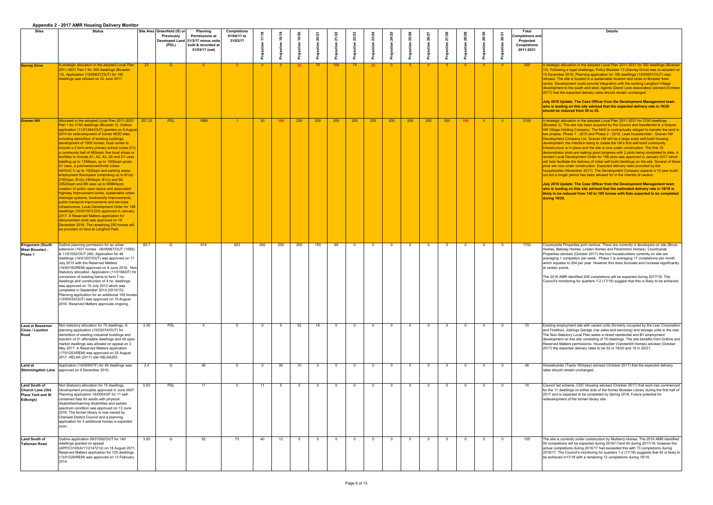|                                                                                  | Appendix 2 - 2017 Alvin Housing Delivery Monitor                                                                                                                                                                                                                                                                                                                                                                                                                                                                                                                                                                                                                                                                                                                                                                                                                                                                                                                                                                                                                                                                                                                                                                  |                 |                                                           |                                                                                                                         |                                               |                 |                   |                 |                |     |          |                 |                |     |          |     |          |          |                       |                                                                                        |                                                                                                                                                                                                                                                                                                                                                                                                                                                                                                                                                                                                                                                                                                                                                                                                                                          |
|----------------------------------------------------------------------------------|-------------------------------------------------------------------------------------------------------------------------------------------------------------------------------------------------------------------------------------------------------------------------------------------------------------------------------------------------------------------------------------------------------------------------------------------------------------------------------------------------------------------------------------------------------------------------------------------------------------------------------------------------------------------------------------------------------------------------------------------------------------------------------------------------------------------------------------------------------------------------------------------------------------------------------------------------------------------------------------------------------------------------------------------------------------------------------------------------------------------------------------------------------------------------------------------------------------------|-----------------|-----------------------------------------------------------|-------------------------------------------------------------------------------------------------------------------------|-----------------------------------------------|-----------------|-------------------|-----------------|----------------|-----|----------|-----------------|----------------|-----|----------|-----|----------|----------|-----------------------|----------------------------------------------------------------------------------------|------------------------------------------------------------------------------------------------------------------------------------------------------------------------------------------------------------------------------------------------------------------------------------------------------------------------------------------------------------------------------------------------------------------------------------------------------------------------------------------------------------------------------------------------------------------------------------------------------------------------------------------------------------------------------------------------------------------------------------------------------------------------------------------------------------------------------------------|
| <b>Sites</b>                                                                     | <b>Status</b>                                                                                                                                                                                                                                                                                                                                                                                                                                                                                                                                                                                                                                                                                                                                                                                                                                                                                                                                                                                                                                                                                                                                                                                                     |                 | Site Area Greenfield (G) or<br><b>Previously</b><br>(PDL) | <b>Planning</b><br><b>Permissions at</b><br>Developed Land 31/3/17 minus units<br>built & recorded at<br>31/03/17 (net) | <b>Completions</b><br>01/04/11 to<br>31/03/17 |                 |                   |                 |                |     |          |                 |                |     |          |     |          |          | <b>D</b> <sup>3</sup> | <b>Total</b><br>Completions and<br><b>Projected</b><br><b>Completions</b><br>2011-2031 | <b>Details</b>                                                                                                                                                                                                                                                                                                                                                                                                                                                                                                                                                                                                                                                                                                                                                                                                                           |
| <b>Gavray Drive</b>                                                              | A strategic allocation in the adopted Local Plan<br>2011-2031 Part 1 for 300 dwellings (Bicester<br>13). Application (15/00837/OUT) for 180<br>dwellings was refused on 22 June 2017.                                                                                                                                                                                                                                                                                                                                                                                                                                                                                                                                                                                                                                                                                                                                                                                                                                                                                                                                                                                                                             | 23 <sup>2</sup> | $\mathsf{G}$                                              | $\cap$                                                                                                                  | $\overline{0}$                                | $\overline{0}$  |                   |                 | 75             | 100 | 75       | 25 <sub>2</sub> |                |     | $\Omega$ |     |          |          | $\overline{0}$        | 300                                                                                    | A strategic allocation in the adopted Local Plar<br>13). Following a legal challenge, Policy Biceste<br>19 December 2016. Planning application for 18<br>refused. The site is located in a sustainable loc<br>centre. Development could provide integration<br>development to the south and west. Agents (Da<br>[2017] that the expected delivery rates should r<br>July 2018 Update: The Case Officer from the<br>who is leading on this site advised that the<br>should be reduced from 50 to 25.                                                                                                                                                                                                                                                                                                                                      |
| <b>Graven Hill</b>                                                               | Allocated in the adopted Local Plan 2011-2031<br>Part 1 for 2100 dwellings (Bicester 2). Outline<br>application (11/01494/OUT) granted on 8 August<br>2014 for redevelopment of former MOD sites<br>including demolition of existing buildings,<br>development of 1900 homes; local centre to<br>include a 2 form entry primary school (class D1),  <br>a community hall of 660sqm, five local shops or<br>facilities to include A1, A2, A3, A5 and D1 uses<br>totalling up to 1358sqm, up to 1000sqm gross<br>A1 uses, a pub/restaurant/hotel (class<br>A4/A3/C1) up to 1000sqm and parking areas;<br>employment floorspace comprising up to B1(a)<br>2160sqm, B1(b) 2400sqm, B1(c) and B2<br>20520sqm and B8 uses up to 66960sqm;<br>creation of public open space and associated<br>highway improvement works, sustainable urban<br>drainage systems, biodiversity improvements,<br>public transport improvements and services<br>infrastructure. Local Development Order for 198<br>dwellings (16/02197/LDO) approved in January<br>2017. A Reserved Matters application for<br>demonstrator plots was approved on 19<br>December 2016. The remaining 200 homes will<br>be provided on land at Langford Park. | 207.23          | PDL                                                       | 1899                                                                                                                    |                                               | 30 <sub>o</sub> | 100               | 200             | 200            | 200 | 200      | 200             | 200            | 200 | 200      | 200 |          | $\Omega$ | $\overline{0}$        | 2100                                                                                   | A strategic allocation in the adopted Local Plar<br>(Bicester 2). The site has been acquired by the<br>Hill Village Holding Company. The MoD is cont<br>two phases. Phase 1 - 2015 and Phase 2 - 201<br>Development Company Ltd. Graven Hill will be<br>development; the intention being to create the<br>Infrastructure is in place and the site is now un<br>demonstrator plots are making good progress y<br>revised Local Development Order for 198 plots<br>will help facilitate the delivery of initial self-buile<br>plots are now under construction. Expected de<br>housebuilder (November 2017). The Developm<br>out but a longer period has been allowed for in<br>July 2018 Update: The Case Officer from the<br>who is leading on this site advised that the<br>likely to be reduced from 140 to 100 homes<br>during 19/20. |
| <b>Kingsmere (South</b><br><b>West Bicester) -</b><br>Phase 1                    | Outline planning permission for an urban<br>extension (1631 homes - 06/00967/OUT (1585)  <br>& 11/01052/OUT (46). Application for 46<br>dwellings (14/01207/OUT) was approved on 17<br>July 2015 with the Reserved Matters<br>$(16/00192$ /REM) approved on 8 June 2016. Non-<br>Statutory allocation. Application (11/01840/F) for<br>conversion of existing barns to form 7 no.<br>dwellings and construction of 4 no. dwellings<br>was approved on 15 July 2013 which was<br>completed in September 2014 (2014/15).<br>Planning application for an additional 100 homes<br>(13/00433/OUT) was approved on 15 August<br>2016. Reserved Matters approvals ongoing.                                                                                                                                                                                                                                                                                                                                                                                                                                                                                                                                               | 82.7            | G                                                         | 819                                                                                                                     | 923                                           | 200             | 200               | 200             | 150            | 69  |          | $\Omega$        | $\Omega$       |     | $\Omega$ |     | $\Omega$ |          | $\overline{0}$        | 1742                                                                                   | Countryside Properties joint venture. There are<br>Homes, Bellway Homes, Linden Homes and Pe<br>Properties advised (October 2017) the four hour<br>averaging 1 completion per week. Phase 1 is a<br>which equates to 204 per year. However this de<br>at certain points.<br>The 2016 AMR identified 200 completions will<br>Council's monitoring for quarters 1-2 (17/18) su                                                                                                                                                                                                                                                                                                                                                                                                                                                             |
| <b>Land at Bessemer</b><br><b>Close / Launton</b><br>Road                        | Non-statutory allocation for 70 dwellings. A<br>planning application (15/02074/OUT) for<br>demolition of existing industrial buildings and<br>erection of 21 affordable dwellings and 49 open<br>market dwellings was allowed on appeal on 3<br>May 2017. A Reserved Matters application<br>(17/01253/REM) was approved on 25 August<br>2017. HELAA (2017) site HELAA263.                                                                                                                                                                                                                                                                                                                                                                                                                                                                                                                                                                                                                                                                                                                                                                                                                                         | 3.35            | <b>PDL</b>                                                |                                                                                                                         | $\Omega$                                      |                 | $\cap$            | 52              | 18             |     | $\Omega$ | $\Omega$        | $\Omega$       |     | $\Omega$ |     | $\Omega$ |          | $\overline{0}$        | 70                                                                                     | Existing employment site with vacant units (for<br>and Firstline), Joblings Garage (car sales and<br>The Non-Statutory Local Plan seeks a mixed re<br>development on this site consisting of 70 dwell<br>Reserved Matters permissions. Housebuilder (<br>2017) the expected delivery rates to be 52 in 1                                                                                                                                                                                                                                                                                                                                                                                                                                                                                                                                 |
| Land at                                                                          | Application (14/00697/F) for 46 dwellings was<br><b>Skimmingdish Lane</b> approved on 9 December 2015.                                                                                                                                                                                                                                                                                                                                                                                                                                                                                                                                                                                                                                                                                                                                                                                                                                                                                                                                                                                                                                                                                                            | 2.4             | G                                                         | 46                                                                                                                      | $\Omega$                                      |                 | 36                | 10 <sup>1</sup> | $\Omega$       |     | $\Omega$ | $\cap$          | $\Omega$       |     | $\Omega$ |     |          |          | $\Omega$              | 46                                                                                     | Housebuilder (Taylor Wimpey) advised (Octob<br>rates should remain unchanged.                                                                                                                                                                                                                                                                                                                                                                                                                                                                                                                                                                                                                                                                                                                                                            |
| Land South of<br><b>Church Lane (Old</b><br><b>Place Yard and St</b><br>Edburgs) | Non-Statutory allocation for 15 dwellings.<br>Development principles approved in June 2007.<br>Planning application 16/00043/F for 11 self-<br>contained flats for adults with physical<br>disabilities/learning disabilities and autistic<br>spectrum condition was approved on 13 June<br>2016. The former library is now owned by<br>Cherwell District Council and a planning<br>application for 5 additional homes is expected<br>soon.                                                                                                                                                                                                                                                                                                                                                                                                                                                                                                                                                                                                                                                                                                                                                                       | 0.63            | <b>PDL</b>                                                | 11                                                                                                                      | $\Omega$                                      | 11              | -5                |                 | $\overline{0}$ |     | $\Omega$ | $\cap$          | $\overline{0}$ |     | $\Omega$ |     | $\Omega$ |          | $\overline{0}$        | 16                                                                                     | Council led scheme. CDC Housing advised (O<br>for the 11 dwellings on either side of the former<br>2017 and is expected to be completed by Sprir<br>redevelopment of the former library site.                                                                                                                                                                                                                                                                                                                                                                                                                                                                                                                                                                                                                                            |
| Land South of<br>Talisman Road                                                   | Outline application 09/01592/OUT for 140<br>dwellings granted on appeal<br>(APP/C3105/A/11/2147212) on 18 August 2011.<br>Reserved Matters application for 125 dwellings<br>(13/01226/REM) was approved on 13 February<br>2014.                                                                                                                                                                                                                                                                                                                                                                                                                                                                                                                                                                                                                                                                                                                                                                                                                                                                                                                                                                                   | 3.83            | G                                                         | 52                                                                                                                      | 73                                            | 40              | $12 \overline{ }$ |                 | $\Omega$       |     | $\Omega$ | റ               | $\Omega$       |     | $\Omega$ |     |          |          | $\overline{0}$        | 125                                                                                    | The site is currently under construction by Mull<br>50 completions will be expected during 2016/11<br>actual completions during 2016/17 had exceed<br>2016/17. The Council's monitoring for quarters<br>be achieved in 17/18 with a remaining 12 comp                                                                                                                                                                                                                                                                                                                                                                                                                                                                                                                                                                                    |

 $\frac{1}{2}$  the adopted Local Plan 2011-2031 for 300 dwellings (Bicester hallenge, Policy Bicester 13 (Gavray Drive) was re-adopted on nning application for 180 dwellings (15/00837/OUT) was ated in a sustainable location and close to Bicester town ould provide integration with the existing Langford Village th and west. Agents (David Lock Associates) advised (October I delivery rates should remain unchanged.

**Case Officer from the Development Management team** site advised that the expected delivery rate in 19/20 **should be 10 to 25.** 

1 the adopted Local Plan 2011-2031 for 2100 dwellings as been acquired by the Council and transferred to a Graven mpany. The MoD is contractually obliged to transfer the land in 2015 and Phase 2 - 2019. Lead housebuilder - Graven Hill If Ltd. Graven Hill will be a large scale self-build housing tion being to create the UK's first self-build community. If and the site is now under construction. The first 10 making good progress with 2 plots being completed to date. A nent Order for 198 plots was approved in January 2017 which livery of initial self-build dwellings on the site. Several of these nstruction. Expected delivery rates provided by the er 2017). The Development Company expects a 10 year buildhas been allowed for in the interest of caution.

**Case Officer from the Development Management team who is ite advised that the estimated delivery rate in 18/19 is rom 140 to 100 homes with flats expected to be completed** 

b joint venture. There are currently 4 developers on site (Bovis i, Linden Homes and Persimmon Homes). Countryside ctober 2017) the four housebuilders currently on site are n per week. Phase 1 is averaging 17 completions per month ber year. However this does fluctuate and increase significantly

ed 200 completions will be expected during 2017/18. The r quarters 1-2 (17/18) suggest that this is likely to be achieved.

ite with vacant units (formerly occupied by the Lear Corporation Garage (car sales and servicing) and storage units to the rear.  $rad$  Plan seeks a mixed residential and B1 employment e consisting of 70 dwellings. The site benefits from Outline and hissions. Housebuilder (Vanderbilt Homes) advised (October livery rates to be 52 in 19/20 and 18 in 20/21.

Vimpey) advised (October 2017) that the expected delivery changed.

DC Housing advised (October 2017) that work has commenced either side of the former Bicester Library during the first half of 2018. Future potential for be completed by Spring 2018. Future potential for ormer library site.

der construction by Mulberry Homes. The 2016 AMR identified expected during 2016/17and 40 during 2017/18, however the ing 2016/17 had exceeded this with 73 completions during If monitoring for quarters 1-2 (17/18) suggests that 40 is likely to ith a remaining 12 completions during 18/19.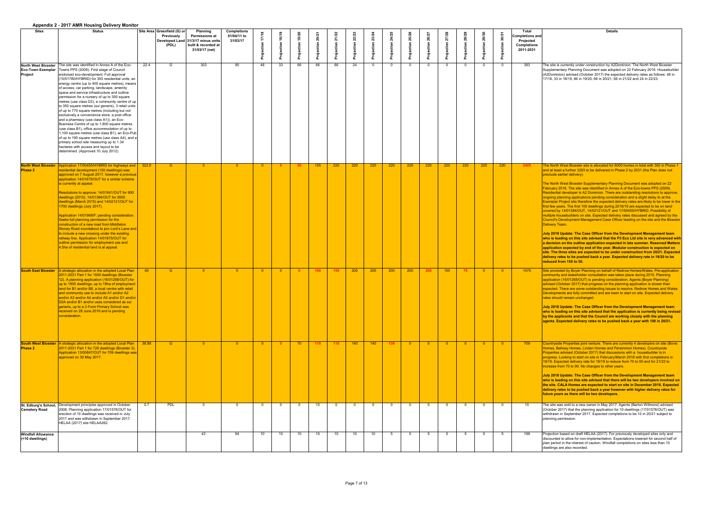|                                              | $\Delta$                                                                                                                                                                                                                                                                                                                                                                                                                                                                                                                                                                                                                                                                                                                                                                                                                                                                                                                                                                                                                           |       |                                                          |                                                                                                                         |                                               |                |    |    |                  |     |                 |                 |          |                         |                         |                            |          |     |     |                                                                                        |                                                                                                                                                                                                                                                                                                                                                                                                                                                                                                                                                                                                                                                                                                                                                                                                                                                                                                                                                                                                                                                                                                                                                                                                                                                                                                                                                                                                                                                                                                                                                                                    |
|----------------------------------------------|------------------------------------------------------------------------------------------------------------------------------------------------------------------------------------------------------------------------------------------------------------------------------------------------------------------------------------------------------------------------------------------------------------------------------------------------------------------------------------------------------------------------------------------------------------------------------------------------------------------------------------------------------------------------------------------------------------------------------------------------------------------------------------------------------------------------------------------------------------------------------------------------------------------------------------------------------------------------------------------------------------------------------------|-------|----------------------------------------------------------|-------------------------------------------------------------------------------------------------------------------------|-----------------------------------------------|----------------|----|----|------------------|-----|-----------------|-----------------|----------|-------------------------|-------------------------|----------------------------|----------|-----|-----|----------------------------------------------------------------------------------------|------------------------------------------------------------------------------------------------------------------------------------------------------------------------------------------------------------------------------------------------------------------------------------------------------------------------------------------------------------------------------------------------------------------------------------------------------------------------------------------------------------------------------------------------------------------------------------------------------------------------------------------------------------------------------------------------------------------------------------------------------------------------------------------------------------------------------------------------------------------------------------------------------------------------------------------------------------------------------------------------------------------------------------------------------------------------------------------------------------------------------------------------------------------------------------------------------------------------------------------------------------------------------------------------------------------------------------------------------------------------------------------------------------------------------------------------------------------------------------------------------------------------------------------------------------------------------------|
| <b>Sites</b>                                 | <b>Status</b>                                                                                                                                                                                                                                                                                                                                                                                                                                                                                                                                                                                                                                                                                                                                                                                                                                                                                                                                                                                                                      |       | Site Area Greenfield (G) or<br><b>Previously</b><br>(PDL | <b>Planning</b><br><b>Permissions at</b><br>Developed Land 31/3/17 minus units<br>built & recorded at<br>31/03/17 (net) | <b>Completions</b><br>01/04/11 to<br>31/03/17 |                | ဇ္ |    |                  |     |                 |                 |          |                         |                         |                            |          |     |     | Total<br><b>Completions and</b><br><b>Projected</b><br><b>Completions</b><br>2011-2031 | <b>Details</b>                                                                                                                                                                                                                                                                                                                                                                                                                                                                                                                                                                                                                                                                                                                                                                                                                                                                                                                                                                                                                                                                                                                                                                                                                                                                                                                                                                                                                                                                                                                                                                     |
| Project                                      | North West Bicester The site was identified in Annex A of the Eco-<br><b>Eco-Town Exemplar</b>   Towns PPS (2009). First stage of Council<br>endorsed eco-development. Full approval<br>(10/01780/HYBRID) for 393 residential units, an<br>energy centre (up to 400 square metres), means<br>of access, car parking, landscape, amenity<br>space and service infrastructure and outline<br>permission for a nursery of up to 350 square<br>metres (use class D2), a community centre of up<br>to 350 square metres (sui generis), 3 retail units<br>of up to 770 square metres (including but not<br>exclusively a convenience store, a post office<br>and a pharmacy (use class A1)), an Eco-<br>Business Centre of up to 1,800 square metres<br>(use class B1), office accommodation of up to<br>1,100 square metres (use class B1), an Eco-Pub<br>of up to 190 square metres (use class A4), and a<br>primary school site measuring up to 1.34<br>hectares with access and layout to be<br>determined. (Approved 10 July 2012). | 22.4  | G                                                        | 303                                                                                                                     | 90                                            | 48             | 33 | 66 | 66               | 66  | 24              |                 | $\Omega$ | $\cap$                  |                         |                            | $\Omega$ |     |     | 393                                                                                    | The site is currently under construction by A2Dominion. The North West Bicester<br>Supplementary Planning Document was adopted on 22 February 2016. Housebuilder<br>(A2Dominion) advised (October 2017) the expected delivery rates as follows: 48 in<br>17/18, 33 in 18/19, 66 in 19/20, 66 in 20/21, 66 in 21/22 and 24 in 22/23.                                                                                                                                                                                                                                                                                                                                                                                                                                                                                                                                                                                                                                                                                                                                                                                                                                                                                                                                                                                                                                                                                                                                                                                                                                                |
| <b>Phase 2</b>                               | North West Bicester   Application 17/00455/HYBRID for highways and<br>residential development (150 dwellings) was<br>approved on 7 August 2017, however a previous<br>application 14/01675/OUT for a similar scheme<br>is currently at appeal.<br>Resolutions to approve: 14/01641/OUT for 900<br>dwellings (2015), 14/01384/OUT for 2600<br>dwellings (March 2015) and 14/02121/OUT for<br>1700 dwellings (July 2017).<br>Application 14/01968/F: pending consideration.<br>Seeks full planning permission for the<br>construction of a new road from Middleton<br>Stoney Road roundabout to join Lord's Lane and<br>to include a new crossing under the existing<br>railway line. Application 14/01675/OUT for<br>outline permission for employment use and<br>4.5ha of residential land is at appeal.                                                                                                                                                                                                                           | 322.6 | G                                                        | $\Omega$                                                                                                                |                                               |                |    |    | 155              | 220 | 220             | 220             | 220      | 220                     | 220                     | 220                        | 220      | 220 | 220 | 2405                                                                                   | The North West Bicester site is allocated for 6000 homes in total with 393 in Phase 1<br>and at least a further 3293 to be delivered in Phase 2 by 2031 (the Plan does not<br>preclude earlier delivery).<br>The North West Bicester Supplementary Planning Document was adopted on 22<br>February 2016. The site was identified in Annex A of the Eco-towns PPS (2009).<br>Residential developer is A2 Dominion. There are outstanding resolutions to approve,<br>ongoing planning applications pending consideration and a slight delay to at the<br>Exemplar Project site therefore the expected delivery rates are likely to be lower in the<br>first few years. The first 100 dwellings during 2018/19 are expected to be on land<br>covered by 14/01384/OUT, 14/02121/OUT and 17/00455/HYBRID. Possibility of<br>multiple housebuilders on site. Expected delivery rates discussed and agreed by the<br>Council's Development Management Case Officer leading on the site and the Biceste<br>Delivery Team.<br>July 2018 Update: The Case Officer from the Development Management team<br>who is leading on this site advised that the P3 Eco Ltd site is very advanced wit<br>a decision on the outline application expected in late summer. Reserved Matters<br>$\vert$ application expected by end of the year. Modular construction is expected on $\vert$<br>$ \mathbf{s}$ ite. The three sites are expected to be under construction from 20/21. Expected<br>delivery rates to be pushed back a year. Expected delivery rate in 19/20 to be<br>reduced from 150 to 50. |
|                                              | South East Bicester   A strategic allocation in the adopted Local Plan<br>2011-2031 Part 1 for 1500 dwellings (Bicester<br>12). A planning application (16/01268/OUT) for<br>up to 1500 dwellings, up to 18ha of employment<br>land for B1 and/or B8, a local centre with retail<br>and community use to include A1 and/or A2<br>and/or A3 and/or A4 and/or A5 and/or D1 and/or<br>D2A and/or B1 and/or uses considered as sui<br>generis, up to a 3 Form Primary School was<br>received on 28 June 2016 and is pending<br>consideration.                                                                                                                                                                                                                                                                                                                                                                                                                                                                                          | $-40$ | G                                                        | $\overline{0}$                                                                                                          | ി വ                                           | $\bullet$ 0    |    |    | 100 <sub>1</sub> | 150 | $200 -$         | 200             | 200      | 200                     | 200                     | 150                        | 75       |     | ം വ | 1475                                                                                   | Site promoted by Boyer Planning on behalf of Redrow Homes/Wates. Pre-application<br>community and stakeholder consultation was taken place during 2015. Planning<br>application (16/01268/OUT) is pending consideration. Agents (Boyer Planning)<br>advised (October 2017) that progress on the planning application is slower than<br>expected. There are some outstanding issues to resolve. Redrow Homes and Wates<br>Developments are fully committed and are keen to start on site. Expected delivery<br>rates should remain unchanged.<br>July 2018 Update: The Case Officer from the Development Management team<br>who is leading on this site advised that the application is currently being revise<br>by the applicants and that the Council are working closely with the planning<br>agents. Expected delivery rates to be pushed back a year with 100 in 20/21.                                                                                                                                                                                                                                                                                                                                                                                                                                                                                                                                                                                                                                                                                                       |
| <b>Phase 2</b>                               | South West Bicester   A strategic allocation in the adopted Local Plan<br>2011-2031 Part 1 for 726 dwellings (Bicester 3).<br>Application 13/00847/OUT for 709 dwellings was<br>approved on 30 May 2017.                                                                                                                                                                                                                                                                                                                                                                                                                                                                                                                                                                                                                                                                                                                                                                                                                           | 36.88 | $\mathsf{G}$                                             | $\overline{0}$                                                                                                          | - റ                                           | $\overline{0}$ |    | 70 | 110              | 110 | 140             | 140             | 139      | $\overline{\mathbf{0}}$ | $\overline{\mathbf{0}}$ | $\overline{\phantom{0}}$ 0 | ം വ      | - വ | ി വ | 709                                                                                    | Countryside Properties joint venture. There are currently 4 developers on site (Bovis<br>Homes, Bellway Homes, Linden Homes and Persimmon Homes). Countryside<br>Properties advised (October 2017) that discussions with a housebuilder is in<br>progress. Looking to start on site in February/March 2018 with first completions in<br>18/19. Expected delivery rate for 18/19 to reduce from 70 to 50 and for 21/22 to<br>increase from 70 to 90. No changes to other years.<br>July 2018 Update: The Case Officer from the Development Management team<br>who is leading on this site advised that there will be two developers involved on<br>the site. CALA Homes are expected to start on site in December 2018. Expected<br>delivery rates to be pushed back a year however with higher delivery rates for<br>future years as there will be two developers.                                                                                                                                                                                                                                                                                                                                                                                                                                                                                                                                                                                                                                                                                                                 |
| <b>Cemetery Road</b>                         | St. Edburg's School, Development principles approved in October<br>2008. Planning application 17/01578/OUT for<br>erection of 10 dwellings was received in July<br>2017 and was withdrawn in September 2017.<br>HELAA (2017) site HELAA262.                                                                                                                                                                                                                                                                                                                                                                                                                                                                                                                                                                                                                                                                                                                                                                                        | 0.7   | PDL                                                      | $\Omega$                                                                                                                |                                               |                |    |    | 10               |     |                 |                 | $\Omega$ | $\cap$                  |                         |                            | $\Omega$ |     |     | 10                                                                                     | The site was sold to a new owner in May 2017. Agents (Barton Willmore) advised<br>(October 2017) that the planning application for 10 dwellings (17/01578/OUT) was<br>withdrawn in September 2017. Expected completions to be 10 in 20/21 subject to<br>planning permission.                                                                                                                                                                                                                                                                                                                                                                                                                                                                                                                                                                                                                                                                                                                                                                                                                                                                                                                                                                                                                                                                                                                                                                                                                                                                                                       |
| <b>Windfall Allowance</b><br>(<10 dwellings) |                                                                                                                                                                                                                                                                                                                                                                                                                                                                                                                                                                                                                                                                                                                                                                                                                                                                                                                                                                                                                                    |       |                                                          | 43                                                                                                                      | 94                                            | 10             | 10 | 10 | 10.              | 10  | 10 <sup>1</sup> | 10 <sup>1</sup> | 5.       | -5                      |                         |                            |          |     |     | 199                                                                                    | Projection based on draft HELAA (2017). For previously developed sites only and<br>discounted to allow for non-implementation. Expectations lowered for second half of<br>plan period in the interest of caution. Windfall completions on sites less than 10<br>dwellings are also recorded.                                                                                                                                                                                                                                                                                                                                                                                                                                                                                                                                                                                                                                                                                                                                                                                                                                                                                                                                                                                                                                                                                                                                                                                                                                                                                       |

| <b>Details</b>                                                                                                                                                                                                                                                                                                                                                                                                                                                                                                                                                                                                                                                                                                                                                                                                                              |
|---------------------------------------------------------------------------------------------------------------------------------------------------------------------------------------------------------------------------------------------------------------------------------------------------------------------------------------------------------------------------------------------------------------------------------------------------------------------------------------------------------------------------------------------------------------------------------------------------------------------------------------------------------------------------------------------------------------------------------------------------------------------------------------------------------------------------------------------|
|                                                                                                                                                                                                                                                                                                                                                                                                                                                                                                                                                                                                                                                                                                                                                                                                                                             |
|                                                                                                                                                                                                                                                                                                                                                                                                                                                                                                                                                                                                                                                                                                                                                                                                                                             |
| The site is currently under construction by A2Dominion. The North West Bicester<br>Supplementary Planning Document was adopted on 22 February 2016. Housebuilder<br>(A2Dominion) advised (October 2017) the expected delivery rates as follows: 48 in<br>17/18, 33 in 18/19, 66 in 19/20, 66 in 20/21, 66 in 21/22 and 24 in 22/23.                                                                                                                                                                                                                                                                                                                                                                                                                                                                                                         |
|                                                                                                                                                                                                                                                                                                                                                                                                                                                                                                                                                                                                                                                                                                                                                                                                                                             |
| The North West Bicester site is allocated for 6000 homes in total with 393 in Phase 1<br>and at least a further 3293 to be delivered in Phase 2 by 2031 (the Plan does not                                                                                                                                                                                                                                                                                                                                                                                                                                                                                                                                                                                                                                                                  |
| preclude earlier delivery).<br>The North West Bicester Supplementary Planning Document was adopted on 22<br>February 2016. The site was identified in Annex A of the Eco-towns PPS (2009).<br>Residential developer is A2 Dominion. There are outstanding resolutions to approve,<br>ongoing planning applications pending consideration and a slight delay to at the<br>Exemplar Project site therefore the expected delivery rates are likely to be lower in the<br>first few years. The first 100 dwellings during 2018/19 are expected to be on land<br>covered by 14/01384/OUT, 14/02121/OUT and 17/00455/HYBRID. Possibility of<br>multiple housebuilders on site. Expected delivery rates discussed and agreed by the<br>Council's Development Management Case Officer leading on the site and the Bicester<br><b>Delivery Team.</b> |
| July 2018 Update: The Case Officer from the Development Management team                                                                                                                                                                                                                                                                                                                                                                                                                                                                                                                                                                                                                                                                                                                                                                     |
| who is leading on this site advised that the P3 Eco Ltd site is very advanced with<br>a decision on the outline application expected in late summer. Reserved Matters<br>application expected by end of the year. Modular construction is expected on<br>site. The three sites are expected to be under construction from 20/21. Expected<br>delivery rates to be pushed back a year. Expected delivery rate in 19/20 to be<br>reduced from 150 to 50.                                                                                                                                                                                                                                                                                                                                                                                      |
| Site promoted by Boyer Planning on behalf of Redrow Homes/Wates. Pre-application<br>community and stakeholder consultation was taken place during 2015. Planning<br>application (16/01268/OUT) is pending consideration. Agents (Boyer Planning)<br>advised (October 2017) that progress on the planning application is slower than<br>expected. There are some outstanding issues to resolve. Redrow Homes and Wates<br>Developments are fully committed and are keen to start on site. Expected delivery<br>rates should remain unchanged.                                                                                                                                                                                                                                                                                                |
| July 2018 Update: The Case Officer from the Development Management team<br>who is leading on this site advised that the application is currently being revised<br>by the applicants and that the Council are working closely with the planning<br>agents. Expected delivery rates to be pushed back a year with 100 in 20/21.                                                                                                                                                                                                                                                                                                                                                                                                                                                                                                               |
| Countryside Properties joint venture. There are currently 4 developers on site (Bovis<br>Homes, Bellway Homes, Linden Homes and Persimmon Homes). Countryside<br>Properties advised (October 2017) that discussions with a housebuilder is in<br>progress. Looking to start on site in February/March 2018 with first completions in<br>18/19. Expected delivery rate for 18/19 to reduce from 70 to 50 and for 21/22 to<br>increase from 70 to 90. No changes to other years.                                                                                                                                                                                                                                                                                                                                                              |
| July 2018 Update: The Case Officer from the Development Management team<br>who is leading on this site advised that there will be two developers involved on<br>the site. CALA Homes are expected to start on site in December 2018. Expected<br>delivery rates to be pushed back a year however with higher delivery rates for<br>future years as there will be two developers.                                                                                                                                                                                                                                                                                                                                                                                                                                                            |
| The site was sold to a new owner in May 2017. Agents (Barton Willmore) advised<br>(October 2017) that the planning application for 10 dwellings (17/01578/OUT) was<br>withdrawn in September 2017. Expected completions to be 10 in 20/21 subject to<br>planning permission.                                                                                                                                                                                                                                                                                                                                                                                                                                                                                                                                                                |
| Projection based on draft HELAA (2017). For previously developed sites only and<br>discounted to allow for non-implementation. Expectations lowered for second half of<br>plan period in the interest of caution. Windfall completions on sites less than 10<br>dwellings are also recorded.                                                                                                                                                                                                                                                                                                                                                                                                                                                                                                                                                |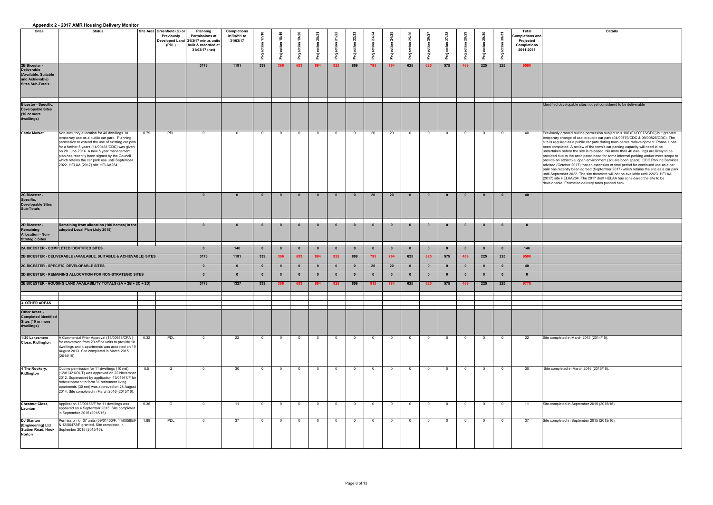| <b>Details</b>                                                                                                                                                            |
|---------------------------------------------------------------------------------------------------------------------------------------------------------------------------|
|                                                                                                                                                                           |
|                                                                                                                                                                           |
|                                                                                                                                                                           |
|                                                                                                                                                                           |
|                                                                                                                                                                           |
|                                                                                                                                                                           |
|                                                                                                                                                                           |
| Identified developable sites not yet considered to be deliverable                                                                                                         |
|                                                                                                                                                                           |
|                                                                                                                                                                           |
| Previously granted outline permission subject to s.106 (01/00073/CDC) but granted<br>temporary change of use to public car park (04/00779/CDC & 09/00828/CDC). The        |
| site is required as a public car park during town centre redevelopment. Phase 1 has<br>been completed. A review of the town's car parking capacity will need to be        |
| undertaken before the site is released. No more than 40 dwellings are likely to be<br>provided due to the anticipated need for some informal parking and/or more scope to |
| provide an attractive, open environment (square/open space). CDC Parking Services<br>advised (October 2017) that an extension of time period for continued use as a car   |
| park has recently been agreed (September 2017) which retains the site as a car park<br>until September 2022. The site therefore will not be available until 22/23. HELAA  |
| (2017) site HELAA264. The 2017 draft HELAA has considered the site to be<br>developable. Estimated delivery rates pushed back.                                            |
|                                                                                                                                                                           |
|                                                                                                                                                                           |
|                                                                                                                                                                           |
|                                                                                                                                                                           |
|                                                                                                                                                                           |
|                                                                                                                                                                           |
|                                                                                                                                                                           |
|                                                                                                                                                                           |
|                                                                                                                                                                           |
|                                                                                                                                                                           |
|                                                                                                                                                                           |
|                                                                                                                                                                           |
|                                                                                                                                                                           |
|                                                                                                                                                                           |
|                                                                                                                                                                           |
| Site completed in March 2015 (2014/15).                                                                                                                                   |
|                                                                                                                                                                           |
|                                                                                                                                                                           |
| Site completed in March 2016 (2015/16).                                                                                                                                   |
|                                                                                                                                                                           |
|                                                                                                                                                                           |
|                                                                                                                                                                           |
| Site completed in September 2015 (2015/16).                                                                                                                               |
| Site completed in September 2015 (2015/16).                                                                                                                               |
|                                                                                                                                                                           |
|                                                                                                                                                                           |
|                                                                                                                                                                           |
|                                                                                                                                                                           |

| <b>Sites</b>                                                                                              | <b>Appendix 2 - 2017 AMIN Housing Denvery Monitor</b><br>Status                                                                                                                                                                                                                                                                                                                         |      | Site Area Greenfield (G) or<br><b>Previously</b><br>(PDL) | <b>Planning</b><br><b>Permissions at</b><br>Developed Land 31/3/17 minus units<br>built & recorded at<br>31/03/17 (net) | <b>Completions</b><br>01/04/11 to<br>31/03/17 | $\infty$ | െ   | 19/20 |                |                |     |           |                |     |     |        |                |     |     | Total<br>Completions and<br><b>Projected</b><br><b>Completions</b><br>2011-2031 | <b>Details</b>                                                                                                                                                                                                                                                                                                                                                                                                                                                                                                                                                                                                                                                                                                                                                                                                                                                                                                                                                                                                |
|-----------------------------------------------------------------------------------------------------------|-----------------------------------------------------------------------------------------------------------------------------------------------------------------------------------------------------------------------------------------------------------------------------------------------------------------------------------------------------------------------------------------|------|-----------------------------------------------------------|-------------------------------------------------------------------------------------------------------------------------|-----------------------------------------------|----------|-----|-------|----------------|----------------|-----|-----------|----------------|-----|-----|--------|----------------|-----|-----|---------------------------------------------------------------------------------|---------------------------------------------------------------------------------------------------------------------------------------------------------------------------------------------------------------------------------------------------------------------------------------------------------------------------------------------------------------------------------------------------------------------------------------------------------------------------------------------------------------------------------------------------------------------------------------------------------------------------------------------------------------------------------------------------------------------------------------------------------------------------------------------------------------------------------------------------------------------------------------------------------------------------------------------------------------------------------------------------------------|
| 2B Bicester -<br><b>Deliverable</b><br>(Available, Suitable<br>and Achievable)<br><b>Sites Sub-Totals</b> |                                                                                                                                                                                                                                                                                                                                                                                         |      |                                                           | 3173                                                                                                                    | 1181                                          | 339      |     | 683   | 894            | 925            | 869 | 795       | 764            | 625 | 625 | 575    | 469            | 225 | 225 | 9590                                                                            |                                                                                                                                                                                                                                                                                                                                                                                                                                                                                                                                                                                                                                                                                                                                                                                                                                                                                                                                                                                                               |
| <b>Bicester - Specific,</b><br><b>Developable Sites</b><br>(10 or more<br>dwellings)                      |                                                                                                                                                                                                                                                                                                                                                                                         |      |                                                           |                                                                                                                         |                                               |          |     |       |                |                |     |           |                |     |     |        |                |     |     |                                                                                 | Identified developable sites not yet considered to be deliverable                                                                                                                                                                                                                                                                                                                                                                                                                                                                                                                                                                                                                                                                                                                                                                                                                                                                                                                                             |
| <b>Cattle Market</b>                                                                                      | Non-statutory allocation for 40 dwellings. In<br>temporary use as a public car park. Planning<br>permission to extend the use of existing car park<br>for a further 5 years (14/00461/CDC) was given<br>on 20 June 2014. A new 5 year management<br>plan has recently been signed by the Council<br>which retains the car park use until September<br>2022. HELAA (2017) site HELAA264. | 0.79 | PDL                                                       |                                                                                                                         |                                               |          |     |       | $\Omega$       | $\Omega$       |     | 20        | 20             |     |     | - വ    | $\Omega$       |     |     | 40                                                                              | Previously granted outline permission subject to s.106 (01/00073/CDC) but granted<br>temporary change of use to public car park (04/00779/CDC & 09/00828/CDC). The<br>site is required as a public car park during town centre redevelopment. Phase 1 has<br>been completed. A review of the town's car parking capacity will need to be<br>undertaken before the site is released. No more than 40 dwellings are likely to be<br>provided due to the anticipated need for some informal parking and/or more scope to<br>provide an attractive, open environment (square/open space). CDC Parking Service<br>advised (October 2017) that an extension of time period for continued use as a car<br>park has recently been agreed (September 2017) which retains the site as a car part<br>until September 2022. The site therefore will not be available until 22/23. HELAA<br>(2017) site HELAA264. The 2017 draft HELAA has considered the site to be<br>developable. Estimated delivery rates pushed back. |
| 2C Bicester -<br>Specific,<br><b>Developable Sites</b><br><b>Sub-Totals</b>                               |                                                                                                                                                                                                                                                                                                                                                                                         |      |                                                           |                                                                                                                         |                                               |          |     |       |                |                |     | <b>20</b> | 20             |     |     |        |                |     |     | 40                                                                              |                                                                                                                                                                                                                                                                                                                                                                                                                                                                                                                                                                                                                                                                                                                                                                                                                                                                                                                                                                                                               |
| 2D Bicester -<br>Remaining<br><b>Allocation - Non-</b><br><b>Strategic Sites</b>                          | Remaining from allocation (100 homes) in the<br>adopted Local Plan (July 2015)                                                                                                                                                                                                                                                                                                          |      |                                                           |                                                                                                                         |                                               |          |     |       |                |                |     | - 0       |                |     |     |        | - 0            |     |     |                                                                                 |                                                                                                                                                                                                                                                                                                                                                                                                                                                                                                                                                                                                                                                                                                                                                                                                                                                                                                                                                                                                               |
|                                                                                                           | 2A BICESTER - COMPLETED IDENTIFIED SITES                                                                                                                                                                                                                                                                                                                                                |      |                                                           |                                                                                                                         | 146                                           |          |     |       |                |                | - റ | - 0       |                |     |     |        | ∩              |     |     | 146                                                                             |                                                                                                                                                                                                                                                                                                                                                                                                                                                                                                                                                                                                                                                                                                                                                                                                                                                                                                                                                                                                               |
|                                                                                                           | 2B BICESTER - DELIVERABLE (AVAILABLE, SUITABLE & ACHIEVABLE) SITES                                                                                                                                                                                                                                                                                                                      |      |                                                           | 3173                                                                                                                    | 1181                                          | 339      |     | 683   | 894            | 925            | 869 | 795       | 764            | 625 | 625 | 575    | 469            | 225 | 225 | 9590                                                                            |                                                                                                                                                                                                                                                                                                                                                                                                                                                                                                                                                                                                                                                                                                                                                                                                                                                                                                                                                                                                               |
|                                                                                                           | 2C BICESTER - SPECIFIC, DEVELOPABLE SITES                                                                                                                                                                                                                                                                                                                                               |      |                                                           |                                                                                                                         |                                               |          |     |       |                | $\mathbf{0}$   |     | 20        | 20             |     | - 0 |        | - 0            |     | - റ | 40                                                                              |                                                                                                                                                                                                                                                                                                                                                                                                                                                                                                                                                                                                                                                                                                                                                                                                                                                                                                                                                                                                               |
|                                                                                                           | 2D BICESTER - REMAINING ALLOCATION FOR NON-STRATEGIC SITES                                                                                                                                                                                                                                                                                                                              |      |                                                           |                                                                                                                         |                                               |          |     |       |                | -0             |     |           |                |     |     |        |                |     |     |                                                                                 |                                                                                                                                                                                                                                                                                                                                                                                                                                                                                                                                                                                                                                                                                                                                                                                                                                                                                                                                                                                                               |
|                                                                                                           | 2E BICESTER - HOUSING LAND AVAILABILITY TOTALS (2A + 2B + 2C + 2D)                                                                                                                                                                                                                                                                                                                      |      |                                                           | 3173                                                                                                                    | 1327                                          | 339      | 396 | 683   | 894            | 925            | 869 | 815       | 784            | 625 | 625 | 575    | 469            | 225 | 225 | 9776                                                                            |                                                                                                                                                                                                                                                                                                                                                                                                                                                                                                                                                                                                                                                                                                                                                                                                                                                                                                                                                                                                               |
| 3. OTHER AREAS                                                                                            |                                                                                                                                                                                                                                                                                                                                                                                         |      |                                                           |                                                                                                                         |                                               |          |     |       |                |                |     |           |                |     |     |        |                |     |     |                                                                                 |                                                                                                                                                                                                                                                                                                                                                                                                                                                                                                                                                                                                                                                                                                                                                                                                                                                                                                                                                                                                               |
| <b>Other Areas -</b><br>Completed Identified<br>Sites (10 or more<br>dwellings)                           |                                                                                                                                                                                                                                                                                                                                                                                         |      |                                                           |                                                                                                                         |                                               |          |     |       |                |                |     |           |                |     |     |        |                |     |     |                                                                                 |                                                                                                                                                                                                                                                                                                                                                                                                                                                                                                                                                                                                                                                                                                                                                                                                                                                                                                                                                                                                               |
| 1-20 Lakesmere<br><b>Close, Kidlington</b>                                                                | A Commercial Prior Approval (13/00948/CPA)<br>for conversion from 20 office units to provide 18<br>dwellings and 4 apartments was accepted on 19<br>August 2013. Site completed in March 2015<br>(2014/15).                                                                                                                                                                             | 0.32 | <b>PDL</b>                                                |                                                                                                                         | 22                                            |          |     |       | $\Omega$       | $\Omega$       |     | $\cap$    | - റ            |     |     | $\cap$ | $\Omega$       |     |     | 22                                                                              | Site completed in March 2015 (2014/15).                                                                                                                                                                                                                                                                                                                                                                                                                                                                                                                                                                                                                                                                                                                                                                                                                                                                                                                                                                       |
| 4 The Rookery,<br>Kidlington                                                                              | Outline permission for 11 dwellings (10 net)<br>(12/01321/OUT) was approved on 22 November<br>2012. Superseded by application 13/01947/F for<br>redevelopment to form 31 retirement living<br>apartments (30 net) was approved on 28 August<br>2014. Site completed in March 2016 (2015/16).                                                                                            | 0.5  | G                                                         |                                                                                                                         | 30                                            |          |     |       | $\Omega$       | $\Omega$       |     | - റ       | - റ            |     |     | റ      | - 0            |     |     | 30 <sup>°</sup>                                                                 | Site completed in March 2016 (2015/16).                                                                                                                                                                                                                                                                                                                                                                                                                                                                                                                                                                                                                                                                                                                                                                                                                                                                                                                                                                       |
| <b>Chestnut Close,</b><br>Launton                                                                         | Application 13/00186/F for 11 dwellings was<br>approved on 4 September 2013. Site completed<br>in September 2015 (2015/16).                                                                                                                                                                                                                                                             | 0.36 | G                                                         | <sup>n</sup>                                                                                                            | 11                                            |          |     |       | $\overline{0}$ | $\Omega$       |     | - റ       | - 0            |     |     | _ റ    | $\Omega$       |     |     | 11                                                                              | Site completed in September 2015 (2015/16).                                                                                                                                                                                                                                                                                                                                                                                                                                                                                                                                                                                                                                                                                                                                                                                                                                                                                                                                                                   |
| <b>DJ Stanton</b><br>(Engineering) Ltd<br><b>Station Road, Hook</b><br>Norton                             | Permission for 37 units (09/01450/F, 11/00585/F  <br>& 12/00472/F granted. Site completed in<br>September 2015 (2015/16).                                                                                                                                                                                                                                                               | 1.88 | PDL                                                       | ∩.                                                                                                                      | 37                                            |          |     |       | $\overline{0}$ | $\overline{0}$ |     | - റ       | $\overline{0}$ |     |     | _ റ    | $\overline{0}$ |     |     | 37                                                                              | Site completed in September 2015 (2015/16).                                                                                                                                                                                                                                                                                                                                                                                                                                                                                                                                                                                                                                                                                                                                                                                                                                                                                                                                                                   |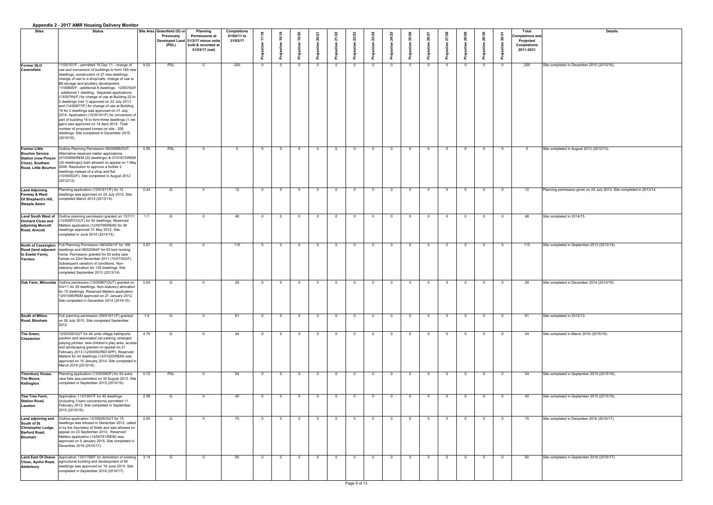|                                                                                                         | Appendix 2 - 2017 Alvin Housing Delivery Monitor                                                                                                                                                                                                                                                                                                                                                                                                                                                                                                                                                                                                                                                                                                                                                                |      |                                                           |                                                                                                                         |                                               |                          |                |                |                |                |                |                |                |                |                |                |                |                |                |                                                                                 |                                                                      |
|---------------------------------------------------------------------------------------------------------|-----------------------------------------------------------------------------------------------------------------------------------------------------------------------------------------------------------------------------------------------------------------------------------------------------------------------------------------------------------------------------------------------------------------------------------------------------------------------------------------------------------------------------------------------------------------------------------------------------------------------------------------------------------------------------------------------------------------------------------------------------------------------------------------------------------------|------|-----------------------------------------------------------|-------------------------------------------------------------------------------------------------------------------------|-----------------------------------------------|--------------------------|----------------|----------------|----------------|----------------|----------------|----------------|----------------|----------------|----------------|----------------|----------------|----------------|----------------|---------------------------------------------------------------------------------|----------------------------------------------------------------------|
| <b>Sites</b>                                                                                            | <b>Status</b>                                                                                                                                                                                                                                                                                                                                                                                                                                                                                                                                                                                                                                                                                                                                                                                                   |      | Site Area Greenfield (G) or<br><b>Previously</b><br>(PDL) | <b>Planning</b><br><b>Permissions at</b><br>Developed Land 31/3/17 minus units<br>built & recorded at<br>31/03/17 (net) | <b>Completions</b><br>01/04/11 to<br>31/03/17 |                          | ၈              |                |                |                |                |                |                |                |                |                |                |                |                | Total<br>Completions and<br><b>Projected</b><br><b>Completions</b><br>2011-2031 | <b>Details</b>                                                       |
| <b>Former DLO</b><br><b>Caversfield</b>                                                                 | 11/00151/F - permitted 16 Dec 11 - change of<br>use and conversion of buildings to form 160 new<br>dwellings, construction of 27 new dwellings,<br>change of use to a shop/cafe, change of use to<br>B8 storage and ancillary development.<br>11/00805/F - additional 8 dwellings. 12/00764/F<br>additional 1 dwelling. Separate applications<br>(13/00764/F) for change of use at Building 22 to<br>2 dwellings (net 1) approved on 22 July 2013<br>and (14/00877/F) for change of use at Building<br>19 for 2 dwellings was approved on 31 July<br>2014. Application (15/00141/F) for conversion of<br>part of building 16 to form three dwellings (1 net<br>gain) was approved on 14 April 2015. Total<br>number of proposed homes on site - 200<br>dwellings. Site completed in December 2015<br>(2015/16). | 9.52 | PDL                                                       |                                                                                                                         | 200                                           |                          | $\Omega$       |                | $\Omega$       |                |                | - 0            |                |                | $\overline{0}$ |                | $\Omega$       |                |                | 200                                                                             | Site completed in December 2015 (2015/16).                           |
| <b>Former Little</b><br><b>Bourton Service</b><br><b>Station (now Pinson</b><br>Close), Southam         | Outline Planning Permission 06/00698/OUT.<br>Alternative reserved matter applications<br>(07/00856/REM (22 dwellings) & 07/01670/REM  <br>(20 dwellings)) both allowed on appeal on 1 May<br>Road, Little Bourton 2008. Resolution to approve a further 2<br>dwellings instead of a shop and flat<br>10/00002/F). Site completed in August 2012<br>(2012/13).                                                                                                                                                                                                                                                                                                                                                                                                                                                   | 0.55 | PDL                                                       |                                                                                                                         |                                               | - റ                      | $\Omega$       |                | - റ            | - 0            | - 0            | $\overline{0}$ |                |                | $\overline{0}$ | $\Omega$       | $\overline{0}$ |                | - റ            |                                                                                 | Site completed in August 2012 (2012/13).                             |
| <b>Land Adjoining</b><br><b>Fenway &amp; West</b><br><b>Of Shepherd's Hill,</b><br><b>Steeple Aston</b> | Planning application (12/01611/F) for 12<br>dwellings was approved on 24 July 2013. Site<br>completed March 2014 (2013/14).                                                                                                                                                                                                                                                                                                                                                                                                                                                                                                                                                                                                                                                                                     | 0.43 | G                                                         |                                                                                                                         | 12                                            | _ റ                      | $\Omega$       |                | _ റ            | $\overline{0}$ | - 0            | $\Omega$       |                |                | $\overline{0}$ | $\overline{0}$ | $\overline{0}$ |                | - 0            | 12                                                                              | Planning permission given on 24 July 2013. Site completed in 2013/14 |
| <b>Land South West of</b><br><b>Orchard Close and</b><br>adjoining Murcott<br><b>Road, Arncott</b>      | Outline planning permission granted on 13/7/11<br>10/00807/OUT) for 50 dwellings. Reserved<br>Matters application (12/00799/REM) for 48<br>dwellings approved 31 May 2012. Site<br>completed in June 2014 (2014/15).                                                                                                                                                                                                                                                                                                                                                                                                                                                                                                                                                                                            | 1.7  | G                                                         |                                                                                                                         | 48                                            |                          | $\cap$         |                | $\cap$         | $\Omega$       |                | $\Omega$       |                |                | $\overline{0}$ |                | $\overline{0}$ |                |                | 48                                                                              | Site completed in 2014/15.                                           |
| North of Cassington<br>Road (land adjacent<br>to Exeter Farm),<br>Yarnton                               | Full Planning Permission 08/02541/F for 168<br>dwellings and 08/02594/F for 63 bed nursing<br>home. Permission granted for 50 extra care<br>homes on 23rd November 2011 (10/01302/F).<br>Subsequent variation of conditions. Non-<br>statutory allocation for 135 dwellings. Site<br>completed September 2013 (2013/14).                                                                                                                                                                                                                                                                                                                                                                                                                                                                                        | 5.87 | G                                                         |                                                                                                                         | 115                                           | $\overline{\phantom{0}}$ | _ റ            |                | - റ            | $\Omega$       | $\overline{0}$ | $\Omega$       |                |                | $\Omega$       | - 0            | $\overline{0}$ |                | $\Omega$       | 115                                                                             | Site completed in September 2013 (2013/14).                          |
|                                                                                                         | Oak Farm, Milcombe Outline permission (10/00967/OUT) granted on<br>5/4/11 for 29 dwellings. Non-statutory allocation<br>for 15 dwellings. Reserved Matters application<br>12/01095/REM approved on 27 January 2012.<br>Site completed in December 2014 (2014/15).                                                                                                                                                                                                                                                                                                                                                                                                                                                                                                                                               | 0.93 | G                                                         |                                                                                                                         | 29                                            |                          | - റ            |                | $\Omega$       | $\Omega$       | - റ            | $\Omega$       |                |                | $\Omega$       |                | $\overline{0}$ |                | - റ            | 29                                                                              | Site completed in December 2014 (2014/15).                           |
| South of Milton<br>Road, Bloxham                                                                        | Full planning permission (09/01811/F) granted<br>on 26 July 2010. Site completed September                                                                                                                                                                                                                                                                                                                                                                                                                                                                                                                                                                                                                                                                                                                      | 1.9  | G                                                         | റ                                                                                                                       | 61                                            | $\Omega$                 | $\overline{0}$ | $\overline{0}$ | $\overline{0}$ | $\overline{0}$ | $\overline{0}$ | $\overline{0}$ | $\overline{0}$ | $\overline{0}$ | $\overline{0}$ | $\overline{0}$ | $\overline{0}$ | $\overline{0}$ | $\overline{a}$ | ี 61                                                                            | Site completed in 2012/13.                                           |
| The Green,<br><b>Chesterton</b>                                                                         | 12/00305/OUT for 44 units village hall/sports<br>pavilion and associated car parking, enlarged<br>playing pitches, new children's play area, access<br>and landscaping granted on appeal on 21<br>February 2013 (12/00050/REFAPP). Reserved<br>Matters for 44 dwellings (13/01525/REM) was<br>approved on 15 January 2014. Site completed in<br>March 2016 (2015/16).                                                                                                                                                                                                                                                                                                                                                                                                                                           | 4.75 | G                                                         |                                                                                                                         | 44                                            |                          | $\Omega$       |                | - റ            | $\Omega$       | - 0            | - 0            |                |                | $\Omega$       | - റ            | $\overline{0}$ |                | - വ            | 44                                                                              | Site completed in March 2016 (2015/16).                              |
| Thornbury House,<br>The Moors,<br>Kidlington                                                            | Planning application (13/00395/F) for 54 extra<br>care flats was permitted on 30 August 2013. Site<br>completed in September 2015 (2015/16).                                                                                                                                                                                                                                                                                                                                                                                                                                                                                                                                                                                                                                                                    | 0.72 | PDL                                                       |                                                                                                                         | 54                                            |                          | $\cap$         |                | $\cap$         | $\cap$         | $\cap$         | $\Omega$       |                |                | $\overline{0}$ | $\cap$         | $\overline{0}$ |                | $\cap$         | 54                                                                              | Site completed in September 2015 (2015/16).                          |
| Yew Tree Farm,<br><b>Station Road,</b><br>Launton                                                       | Application 11/01907/F for 40 dwellings<br>(including 3 barn conversions) permitted 11<br>February 2013. Site completed in September<br>2015 (2015/16).                                                                                                                                                                                                                                                                                                                                                                                                                                                                                                                                                                                                                                                         | 2.58 | G                                                         |                                                                                                                         | 40                                            |                          | - റ            |                | $\cap$         | $\cap$         |                | - റ            |                |                | $\Omega$       |                | $\overline{0}$ |                |                | 40                                                                              | Site completed in September 2015 (2015/16).                          |
| Land adjoining and<br>South of St<br>Christopher Lodge,<br><b>Barford Road,</b><br><b>Bloxham</b>       | Outline application 12/00926/OUT for 75<br>dwellings was refused in December 2012, called<br>in by the Secretary of State and was allowed on<br>appeal on 23 September 2013. Reserved<br>Matters application (14/00761/REM) was<br>approved on 9 January 2015. Site completed in<br>December 2016 (2016/17).                                                                                                                                                                                                                                                                                                                                                                                                                                                                                                    | 2.65 | - G                                                       |                                                                                                                         | 75                                            | - റ                      | - റ            |                | $\Omega$       | $\Omega$       | - റ            | $\Omega$       |                |                | $\Omega$       | റ              | $\overline{0}$ |                | - റ            | 75                                                                              | Site completed in December 2016 (2016/17).                           |
| Adderbury                                                                                               | Land East Of Deene   Application 13/01768/F for demolition of existing  <br>Close, Aynho Road, agricultural building and development of 60<br>dwellings was approved on 19 June 2014. Site<br>completed in September 2016 (2016/17).                                                                                                                                                                                                                                                                                                                                                                                                                                                                                                                                                                            | 3.14 | G                                                         |                                                                                                                         | 60                                            |                          | $\Omega$       |                | $\cap$         | $\Omega$       | - 0            | - 0            |                |                | $\Omega$       | - റ            | $\Omega$       |                |                | 60                                                                              | Site completed in September 2016 (2016/17).                          |

| <b>Details</b>                                 |
|------------------------------------------------|
|                                                |
|                                                |
|                                                |
|                                                |
|                                                |
| nber 2015 (2015/16).                           |
|                                                |
|                                                |
|                                                |
|                                                |
|                                                |
|                                                |
|                                                |
|                                                |
|                                                |
|                                                |
|                                                |
|                                                |
|                                                |
|                                                |
| t 2012 (2012/13).                              |
|                                                |
|                                                |
|                                                |
|                                                |
|                                                |
|                                                |
|                                                |
| en on 24 July 2013. Site completed in 2013/14. |
|                                                |
|                                                |
|                                                |
|                                                |
| 15.                                            |
|                                                |
|                                                |
|                                                |
|                                                |
| mber 2013 (2013/14).                           |
|                                                |
|                                                |
|                                                |
|                                                |
|                                                |
|                                                |
| nber 2014 (2014/15).                           |
|                                                |
|                                                |
|                                                |
|                                                |
|                                                |
|                                                |
| $\overline{13}$ .                              |
|                                                |
|                                                |
| 2016 (2015/16).                                |
|                                                |
|                                                |
|                                                |
|                                                |
|                                                |
|                                                |
| mber 2015 (2015/16).                           |
|                                                |
|                                                |
|                                                |
| mber 2015 (2015/16).                           |
|                                                |
|                                                |
|                                                |
|                                                |
| nber 2016 (2016/17).                           |
|                                                |
|                                                |
|                                                |
|                                                |
|                                                |
|                                                |
| mber 2016 (2016/17).                           |
|                                                |
|                                                |
|                                                |
|                                                |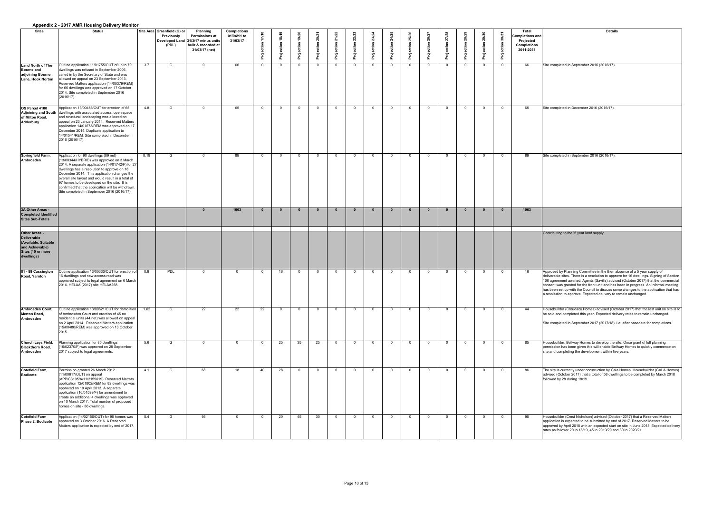|                                                                                                                          | Appendix 2 - 20 IT AIVIN HOUSING Delivery Monitor                                                                                                                                                                                                                                                                                                                                                                                             |      |                                                           |                                                                                                                                                   |                                               |                |    |    |                 |          |  |                |        |          |                |                |            |                                                                                        |                                                                                                                                                                                                                                                                                                                                                                                                                                                                                                                |
|--------------------------------------------------------------------------------------------------------------------------|-----------------------------------------------------------------------------------------------------------------------------------------------------------------------------------------------------------------------------------------------------------------------------------------------------------------------------------------------------------------------------------------------------------------------------------------------|------|-----------------------------------------------------------|---------------------------------------------------------------------------------------------------------------------------------------------------|-----------------------------------------------|----------------|----|----|-----------------|----------|--|----------------|--------|----------|----------------|----------------|------------|----------------------------------------------------------------------------------------|----------------------------------------------------------------------------------------------------------------------------------------------------------------------------------------------------------------------------------------------------------------------------------------------------------------------------------------------------------------------------------------------------------------------------------------------------------------------------------------------------------------|
| <b>Sites</b>                                                                                                             | <b>Status</b>                                                                                                                                                                                                                                                                                                                                                                                                                                 |      | Site Area Greenfield (G) or<br><b>Previously</b><br>(PDL) | <b>Planning</b><br><b>Permissions at</b><br>$^\prime$ Developed Land $\vert$ 31/3/17 minus units $\vert$<br>built & recorded at<br>31/03/17 (net) | <b>Completions</b><br>01/04/11 to<br>31/03/17 | $\infty$       |    |    |                 |          |  |                |        |          | 27/28          |                |            | <b>Total</b><br>Completions and<br><b>Projected</b><br><b>Completions</b><br>2011-2031 | <b>Details</b>                                                                                                                                                                                                                                                                                                                                                                                                                                                                                                 |
| <b>Land North of The</b><br><b>Bourne and</b><br>adjoining Bourne<br>Lane, Hook Norton                                   | Outline application 11/01755/OUT of up to 70<br>dwellings was refused in September 2006,<br>called in by the Secretary of State and was<br>allowed on appeal on 23 September 2013.<br>Reserved Matters application (14/00379/REM)<br>for 66 dwellings was approved on 17 October<br>2014. Site completed in September 2016<br>(2016/17).                                                                                                      | 3.7  | G                                                         | _റ                                                                                                                                                | 66                                            | $\overline{0}$ |    |    | $\Omega$        | <u>റ</u> |  | $\overline{0}$ | റ      | $\Omega$ | - 0            | $\overline{0}$ | - ೧        | 66                                                                                     | Site completed in September 2016 (2016/17).                                                                                                                                                                                                                                                                                                                                                                                                                                                                    |
| OS Parcel 4100<br>of Milton Road,<br><b>Adderbury</b>                                                                    | Application 13/00456/OUT for erection of 65<br>Adjoining and South dwellings with associated access, open space<br>and structural landscaping was allowed on<br>appeal on 23 January 2014. Reserved Matters<br>application 14/01673/REM was approved on 17<br>December 2014. Duplicate application to<br>14/01541/REM. Site completed in December<br>2016 (2016/17).                                                                          | 4.8  | G                                                         |                                                                                                                                                   | 65                                            | $\overline{0}$ |    |    | $\cap$          | _റ       |  | $\Omega$       |        |          |                | $\overline{0}$ | - 0        | 65                                                                                     | Site completed in December 2016 (2016/17).                                                                                                                                                                                                                                                                                                                                                                                                                                                                     |
| Springfield Farm,<br>Ambrosden                                                                                           | Application for 90 dwellings (89 net)<br>(13/00344/HYBRID) was approved on 3 March<br>2014. A separate application (14/01742/F) for 27<br>dwellings has a resolution to approve on 18<br>December 2014. This application changes the<br>overall site layout and would result in a total of<br>97 homes to be developed on the site. It is<br>confirmed that the application will be withdrawn.<br>Site completed in September 2016 (2016/17). | 8.19 | G                                                         |                                                                                                                                                   | 89                                            | - റ            |    |    |                 | റ        |  | $\overline{0}$ |        |          |                | - 0            |            | 89                                                                                     | Site completed in September 2016 (2016/17).                                                                                                                                                                                                                                                                                                                                                                                                                                                                    |
| 3A Other Areas -<br><b>Completed Identified</b><br><b>Sites Sub-Totals</b>                                               |                                                                                                                                                                                                                                                                                                                                                                                                                                               |      |                                                           |                                                                                                                                                   | 1063                                          | 0              |    |    |                 |          |  | $\mathbf{0}$   | 0      |          | - 0            | $\mathbf{0}$   | - 0        | 1063                                                                                   |                                                                                                                                                                                                                                                                                                                                                                                                                                                                                                                |
| <b>Other Areas -</b><br><b>Deliverable</b><br>(Available, Suitable<br>and Achievable)<br>Sites (10 or more<br>dwellings) |                                                                                                                                                                                                                                                                                                                                                                                                                                               |      |                                                           |                                                                                                                                                   |                                               |                |    |    |                 |          |  |                |        |          |                |                |            |                                                                                        | Contributing to the '5 year land supply'                                                                                                                                                                                                                                                                                                                                                                                                                                                                       |
| 81 - 89 Cassington<br><b>Road, Yarnton</b>                                                                               | Outline application 13/00330/OUT for erection of  <br>16 dwellings and new access road was<br>approved subject to legal agreement on 6 March<br>2014. HELAA (2017) site HELAA268.                                                                                                                                                                                                                                                             | 0.9  | PDL                                                       | റ                                                                                                                                                 | $\Omega$                                      | - 0            | 16 |    | $\cap$          | _റ       |  | $\Omega$       |        |          |                | $\overline{0}$ | ി          | 16                                                                                     | Approved by Planning Committee in the then absence of a 5 year supply of<br>deliverable sites. There is a resolution to approve for 16 dwellings. Signing of Section<br>106 agreement awaited. Agents (Savills) advised (October 2017) that the commercial<br>consent was granted for the front unit and has been in progress. An informal meeting<br>has been set up with the Council to discuss some changes to the application that has<br>a resoltution to approve. Expected delivery to remain unchanged. |
| <b>Ambrosden Court,</b><br><b>Merton Road,</b><br>Ambrosden                                                              | Outline application 13/00621/OUT for demolition<br>of Ambrosden Court and erection of 45 no<br>residential units (44 net) was allowed on appeal<br>on 2 April 2014. Reserved Matters application<br>(15/00480/REM) was approved on 13 October<br>2015.                                                                                                                                                                                        | 1.62 | G                                                         | 22                                                                                                                                                | 22                                            | 22             |    |    | _റ              | $\Omega$ |  | $\overline{0}$ | റ      | $\Omega$ | $\overline{0}$ | $\overline{0}$ | $\bigcap$  | 44                                                                                     | Housebuilder (Croudace Homes) advised (October 2017) that the last unit on site is to<br>be sold and completed this year. Expected delivery rates to remain unchanged.<br>Site completed in September 2017 (2017/18). i.e. after basedate for completions.                                                                                                                                                                                                                                                     |
| Church Leys Field,<br><b>Blackthorn Road,</b><br><b>Ambrosden</b>                                                        | Planning application for 85 dwellings<br>(16/02370/F) was approved on 28 September<br>2017 subject to legal agreements.                                                                                                                                                                                                                                                                                                                       | 5.6  | G                                                         | - റ                                                                                                                                               | $\overline{0}$                                | $\overline{0}$ | 25 | 35 | 25              | $\Omega$ |  | $\overline{0}$ | $\cap$ |          | $\overline{0}$ | $\overline{0}$ | - വ        | 85                                                                                     | Housebuilder, Bellway Homes to develop the site. Once grant of full planning<br>permission has been given this will enable Bellway Homes to quickly commence on<br>site and completing the development within five years.                                                                                                                                                                                                                                                                                      |
| Cotefield Farm,<br><b>Bodicote</b>                                                                                       | Permission granted 26 March 2012<br>(11/00617/OUT) on appeal<br>(APP/C3105/A/11/2159619). Reserved Matters<br>application 12/01802/REM for 82 dwellings was<br>approved on 10 April 2013. A separate<br>application (16/01599/F) for amendment to<br>create an additional 4 dwellings was approved<br>on 10 March 2017. Total number of proposed<br>homes on site - 86 dwellings.                                                             | 4.1  | G                                                         | 68                                                                                                                                                | 18                                            | 40             | 28 |    | _റ              | $\Omega$ |  | $\overline{0}$ | $\cap$ | $\Omega$ |                | $\overline{0}$ | <u>ີ ດ</u> | 86                                                                                     | The site is currently under construction by Cala Homes. Housebuilder (CALA Homes)<br>advised (October 2017) that a total of 58 dwellings to be completed by March 2018<br>followed by 28 during 18/19.                                                                                                                                                                                                                                                                                                         |
| <b>Cotefield Farm</b><br>Phase 2, Bodicote                                                                               | Application (14/02156/OUT) for 95 homes was<br>approved on 3 October 2016. A Reserved<br>Matters application is expected by end of 2017.                                                                                                                                                                                                                                                                                                      | 5.4  | G                                                         | 95                                                                                                                                                | $\Omega$                                      | - 0            | 20 | 45 | 30 <sup>°</sup> |          |  | $\overline{0}$ |        |          |                | $\overline{0}$ |            | 95                                                                                     | Housebuilder (Crest Nicholson) advised (October 2017) that a Reserved Matters<br>application is expected to be submitted by end of 2017. Reserved Matters to be<br>approved by April 2018 with an expected start on site in June 2018. Expected delivery<br>rates as follows: 20 in 18/19, 45 in 2019/20 and 30 in 2020/21.                                                                                                                                                                                    |

| <b>Details</b>                                                                                                                                                                                                                                                                                                                                                                                                                                                                                                 |
|----------------------------------------------------------------------------------------------------------------------------------------------------------------------------------------------------------------------------------------------------------------------------------------------------------------------------------------------------------------------------------------------------------------------------------------------------------------------------------------------------------------|
|                                                                                                                                                                                                                                                                                                                                                                                                                                                                                                                |
| Site completed in September 2016 (2016/17).                                                                                                                                                                                                                                                                                                                                                                                                                                                                    |
|                                                                                                                                                                                                                                                                                                                                                                                                                                                                                                                |
| Site completed in December 2016 (2016/17).                                                                                                                                                                                                                                                                                                                                                                                                                                                                     |
|                                                                                                                                                                                                                                                                                                                                                                                                                                                                                                                |
|                                                                                                                                                                                                                                                                                                                                                                                                                                                                                                                |
| Site completed in September 2016 (2016/17).                                                                                                                                                                                                                                                                                                                                                                                                                                                                    |
|                                                                                                                                                                                                                                                                                                                                                                                                                                                                                                                |
|                                                                                                                                                                                                                                                                                                                                                                                                                                                                                                                |
|                                                                                                                                                                                                                                                                                                                                                                                                                                                                                                                |
|                                                                                                                                                                                                                                                                                                                                                                                                                                                                                                                |
| Contributing to the '5 year land supply'                                                                                                                                                                                                                                                                                                                                                                                                                                                                       |
|                                                                                                                                                                                                                                                                                                                                                                                                                                                                                                                |
| Approved by Planning Committee in the then absence of a 5 year supply of<br>deliverable sites. There is a resolution to approve for 16 dwellings. Signing of Section<br>106 agreement awaited. Agents (Savills) advised (October 2017) that the commercial<br>consent was granted for the front unit and has been in progress. An informal meeting<br>has been set up with the Council to discuss some changes to the application that has<br>a resoltution to approve. Expected delivery to remain unchanged. |
| Housebuilder (Croudace Homes) advised (October 2017) that the last unit on site is to<br>be sold and completed this year. Expected delivery rates to remain unchanged                                                                                                                                                                                                                                                                                                                                          |
| Site completed in September 2017 (2017/18). i.e. after basedate for completions.                                                                                                                                                                                                                                                                                                                                                                                                                               |
| Housebuilder, Bellway Homes to develop the site. Once grant of full planning<br>permission has been given this will enable Bellway Homes to quickly commence on<br>site and completing the development within five years.                                                                                                                                                                                                                                                                                      |
| The site is currently under construction by Cala Homes. Housebuilder (CALA Homes)<br>advised (October 2017) that a total of 58 dwellings to be completed by March 2018<br>followed by 28 during 18/19.                                                                                                                                                                                                                                                                                                         |
|                                                                                                                                                                                                                                                                                                                                                                                                                                                                                                                |
| Housebuilder (Crest Nicholson) advised (October 2017) that a Reserved Matters<br>application is expected to be submitted by end of 2017. Reserved Matters to be<br>approved by April 2018 with an expected start on site in June 2018. Expected delivery<br>rates as follows: 20 in 18/19, 45 in 2019/20 and 30 in 2020/21.                                                                                                                                                                                    |
|                                                                                                                                                                                                                                                                                                                                                                                                                                                                                                                |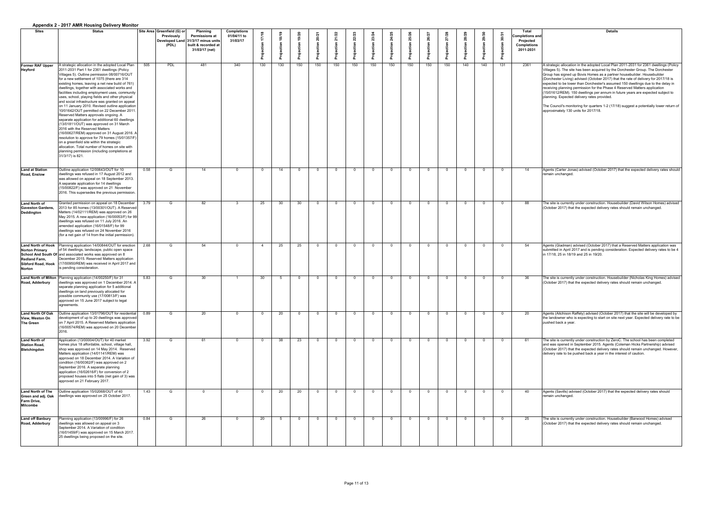|                                                                                                            | Appendix 2 - 20 IT AIVIN HOUSING Delivery Monitor                                                                                                                                                                                                                                                                                                                                                                                                                                                                                                                                                                                                                                                                                                                                                                                                                                                                                                                                                              |      |                                                           |                                                                                                                         |                                               |                         |     |     |     |          |     |     |     |                |                |     |     |                |     |                                                                                 |                                                                                                                                                                                                                                                                                                                                                                                                                                                                                                                                                                                                                                                                                                                                                                                   |
|------------------------------------------------------------------------------------------------------------|----------------------------------------------------------------------------------------------------------------------------------------------------------------------------------------------------------------------------------------------------------------------------------------------------------------------------------------------------------------------------------------------------------------------------------------------------------------------------------------------------------------------------------------------------------------------------------------------------------------------------------------------------------------------------------------------------------------------------------------------------------------------------------------------------------------------------------------------------------------------------------------------------------------------------------------------------------------------------------------------------------------|------|-----------------------------------------------------------|-------------------------------------------------------------------------------------------------------------------------|-----------------------------------------------|-------------------------|-----|-----|-----|----------|-----|-----|-----|----------------|----------------|-----|-----|----------------|-----|---------------------------------------------------------------------------------|-----------------------------------------------------------------------------------------------------------------------------------------------------------------------------------------------------------------------------------------------------------------------------------------------------------------------------------------------------------------------------------------------------------------------------------------------------------------------------------------------------------------------------------------------------------------------------------------------------------------------------------------------------------------------------------------------------------------------------------------------------------------------------------|
| <b>Sites</b>                                                                                               | <b>Status</b>                                                                                                                                                                                                                                                                                                                                                                                                                                                                                                                                                                                                                                                                                                                                                                                                                                                                                                                                                                                                  |      | Site Area Greenfield (G) or<br><b>Previously</b><br>(PDL) | <b>Planning</b><br><b>Permissions at</b><br>Developed Land 31/3/17 minus units<br>built & recorded at<br>31/03/17 (net) | <b>Completions</b><br>01/04/11 to<br>31/03/17 |                         |     |     |     |          |     |     |     |                |                |     |     |                |     | Total<br><b>Completions and</b><br>Projected<br><b>Completions</b><br>2011-2031 | <b>Details</b>                                                                                                                                                                                                                                                                                                                                                                                                                                                                                                                                                                                                                                                                                                                                                                    |
| <b>Former RAF Upper</b><br><b>Heyford</b>                                                                  | A strategic allocation in the adopted Local Plan<br>2011-2031 Part 1 for 2361 dwellings (Policy<br>Villages 5). Outline permission 08/00716/OUT<br>for a new settlement of 1075 (there are 314<br>existing homes, leaving a net new build of 761)<br>dwellings, together with associated works and<br>facilities including employment uses, community<br>uses, school, playing fields and other physical<br>and social infrastructure was granted on appeal<br>on 11 January 2010. Revised outline application<br>10/01642/OUT permitted on 22 December 2011.<br>Reserved Matters approvals ongoing. A<br>separate application for additional 60 dwellings<br>(13/01811/OUT) was approved on 31 March<br>2016 with the Reserved Matters<br>(16/00627/REM) approved on 31 August 2016. A<br>resolution to approve for 79 homes (15/01357/F)<br>on a greenfield site within the strategic<br>allocation. Total number of homes on site with<br>planning permission (including completions at<br>31/3/17) is 821. | 505  | <b>PDL</b>                                                | 481                                                                                                                     | 340                                           | 130                     | 130 | 150 | 150 | 150      | 150 | 150 | 150 | 150            | 150            | 150 | 140 | 140            | 131 | 2361                                                                            | A strategic allocation in the adopted Local Plan 2011-2031 for 2361 dwellings (Policy<br>Villages 5). The site has been acquired by the Dorchester Group. The Dorchester<br>Group has signed up Bovis Homes as a partner housebuilder. Housebuilder<br>(Dorchester Living) advised (October 2017) that the rate of delivery for 2017/18 is<br>expected to be lower than Dorchester's assumed 150 dwellings due to the delay in<br>receiving planning permission for the Phase 4 Reserved Matters application<br>(15/01612/REM). 150 dwellings per annum in future years are expected subject to<br>planning. Expected delivery rates provided.<br>The Council's monitoring for quarters 1-2 (17/18) suggest a potentially lower return of<br>approximately 130 units for 2017/18. |
| <b>Land at Station</b><br><b>Road, Enslow</b>                                                              | Outline application 12/00643/OUT for 10<br>dwellings was refused in 17 August 2012 and<br>was allowed on appeal on 18 September 2013.<br>A separate application for 14 dwellings<br>(15/00822/F) was approved on 21 November<br>2016. This supersedes the previous permission.                                                                                                                                                                                                                                                                                                                                                                                                                                                                                                                                                                                                                                                                                                                                 | 0.58 |                                                           | 14                                                                                                                      |                                               | - റ                     | 14  |     |     | റ        |     |     |     | $\cap$         | $\cap$         |     |     | റ              |     | -14                                                                             | Agents (Carter Jonas) advised (October 2017) that the expected delivery rates should<br>remain unchanged.                                                                                                                                                                                                                                                                                                                                                                                                                                                                                                                                                                                                                                                                         |
| <b>Land North of</b><br><b>Gaveston Gardens,</b><br>Deddington                                             | Granted permission on appeal on 18 December<br>2013 for 85 homes (13/00301/OUT). A Reserved<br>Matters (14/02111/REM) was approved on 26<br>May 2015. A new application (16/00053/F) for 99<br>dwellings was refused on 11 July 2016. An<br>amended application (16/01548/F) for 99<br>dwellings was refused on 24 November 2016<br>(for a net gain of 14 from the initial permission).                                                                                                                                                                                                                                                                                                                                                                                                                                                                                                                                                                                                                        | 3.79 | G                                                         | 82                                                                                                                      |                                               | 25                      | 30  | 30  |     | $\Omega$ |     |     |     | - 0            | - റ            |     |     | $\Omega$       |     | 88                                                                              | The site is currently under construction. Housebuilder (David Wilson Homes) advised<br>(October 2017) that the expected delivery rates should remain unchanged.                                                                                                                                                                                                                                                                                                                                                                                                                                                                                                                                                                                                                   |
| <b>Land North of Hook</b><br><b>Norton Primary</b><br><b>Redland Farm,</b><br>Sibford Road, Hook<br>Norton | Planning application 14/00844/OUT for erection<br>of 54 dwellings, landscape, public open space<br>School And South Of and associated works was approved on 8<br>December 2015. Reserved Matters application<br>(17/00950/REM) was received in April 2017 and<br>is pending consideration.                                                                                                                                                                                                                                                                                                                                                                                                                                                                                                                                                                                                                                                                                                                     | 2.68 | G                                                         | 54                                                                                                                      | $\Omega$                                      |                         | 25  | 25  |     | <u>n</u> |     |     |     | $\Omega$       | $\Omega$       |     |     | - റ            |     | 54                                                                              | Agents (Gladman) advised (October 2017) that a Reserved Matters application was<br>submitted in April 2017 and is pending consideration. Expected delivery rates to be 4<br>in 17/18, 25 in 18/19 and 25 in 19/20.                                                                                                                                                                                                                                                                                                                                                                                                                                                                                                                                                                |
| <b>Road, Adderbury</b>                                                                                     | Land North of Milton   Planning application (14/00250/F) for 31<br>dwellings was approved on 1 December 2014. A<br>separate planning application for 5 additional<br>dwellings on land previously allocated for<br>possible community use (17/00813/F) was<br>approved on 15 June 2017 subject to legal<br>agreements                                                                                                                                                                                                                                                                                                                                                                                                                                                                                                                                                                                                                                                                                          | 5.83 | G                                                         | 30                                                                                                                      |                                               | 30                      |     |     |     | $\Omega$ |     |     |     | $\Omega$       | $\cap$         |     |     | $\Omega$       |     | 36                                                                              | The site is currently under construction. Housebuilder (Nicholas King Homes) advised<br>(October 2017) that the expected delivery rates should remain unchanged.                                                                                                                                                                                                                                                                                                                                                                                                                                                                                                                                                                                                                  |
| <b>Land North Of Oak</b><br>View, Weston On<br>The Green                                                   | Outline application 13/01796/OUT for residential<br>development of up to 20 dwellings was approved<br>on 7 April 2015. A Reserved Matters application<br>(16/00574/REM) was approved on 20 December                                                                                                                                                                                                                                                                                                                                                                                                                                                                                                                                                                                                                                                                                                                                                                                                            | 0.89 |                                                           | 20                                                                                                                      |                                               | $\overline{\mathbf{0}}$ | 20  |     |     | - 0      |     |     |     | $\overline{0}$ | $\overline{0}$ |     |     | 0              |     | 20                                                                              | Agents (Aitchison Raffety) advised (October 2017) that the site will be developed by<br>the landowner who is expecting to start on site next year. Expected delivery rate to be<br>pushed back a year.                                                                                                                                                                                                                                                                                                                                                                                                                                                                                                                                                                            |
| <b>Land North of</b><br><b>Station Road,</b><br>Bletchingdon                                               | Application (13/00004/OUT) for 40 market<br>homes plus 18 affordable, school, village hall,<br>shop was approved on 14 May 2014. Reserved<br>Matters application (14/01141/REM) was<br>approved on 18 December 2014. A Variation of<br>condition (16/00362/F) was approved on 2<br>September 2016. A separate planning<br>application (16/02616/F) for conversion of 2<br>proposed houses into 5 flats (net gain of 3) was<br>approved on 21 February 2017.                                                                                                                                                                                                                                                                                                                                                                                                                                                                                                                                                    | 3.92 | G                                                         | 61                                                                                                                      | $\Omega$                                      | $\overline{0}$          | 38  | 23  |     | $\Omega$ |     |     |     | $\overline{0}$ | $\overline{0}$ | . വ |     | $\overline{0}$ |     | 61                                                                              | The site is currently under construction by ZeroC. The school has been completed<br>and was opened in September 2015. Agents (Coleman Hicks Partnership) advised<br>(October 2017) that the expected delivery rates should remain unchanged. However,<br>delivery rate to be pushed back a year in the interest of caution.                                                                                                                                                                                                                                                                                                                                                                                                                                                       |
| <b>Land North of The</b><br><b>Green and adj. Oak</b><br><b>Farm Drive,</b><br><b>Milcombe</b>             | Outline application 15/02068/OUT of 40<br>dwellings was approved on 25 October 2017.                                                                                                                                                                                                                                                                                                                                                                                                                                                                                                                                                                                                                                                                                                                                                                                                                                                                                                                           | 1.43 | G                                                         |                                                                                                                         | $\Omega$                                      | - 0                     | 20  | 20  |     | - 0      |     |     |     | $\Omega$       | $\Omega$       |     |     | 0              |     | 40                                                                              | Agents (Savills) advised (October 2017) that the expected delivery rates should<br>remain unchanged.                                                                                                                                                                                                                                                                                                                                                                                                                                                                                                                                                                                                                                                                              |
| <b>Land off Banbury</b><br><b>Road, Adderbury</b>                                                          | Planning application (13/00996/F) for 26<br>dwellings was allowed on appeal on 3<br>September 2014. A Variation of condition<br>(16/01459/F) was approved on 15 March 2017.<br>25 dwellings being proposed on the site.                                                                                                                                                                                                                                                                                                                                                                                                                                                                                                                                                                                                                                                                                                                                                                                        | 0.84 | G                                                         | 26                                                                                                                      | $\cap$                                        | 20                      |     |     |     | <u>n</u> |     |     |     | - റ            | - റ            |     |     | $\Omega$       |     | 25                                                                              | The site is currently under construction. Housebuilder (Barwood Homes) advised<br>(October 2017) that the expected delivery rates should remain unchanged.                                                                                                                                                                                                                                                                                                                                                                                                                                                                                                                                                                                                                        |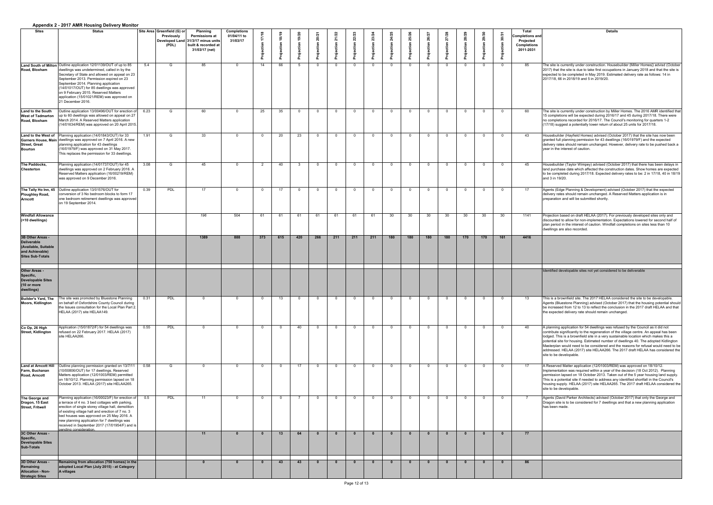|                                                                                                              | Appendix 2 - 2017 AMIN HOUSING Delivery MONICOL                                                                                                                                                                                                                                                                                                                                                                    |      |                                                           |                                                                                                                         |                                               |                |     |     |     |            |     |     |                 |     |          |                 |     |     |     |                                                                                               |                                                                                                                                                                                                                                                                                                                                                                                                                                                                                                                                                               |
|--------------------------------------------------------------------------------------------------------------|--------------------------------------------------------------------------------------------------------------------------------------------------------------------------------------------------------------------------------------------------------------------------------------------------------------------------------------------------------------------------------------------------------------------|------|-----------------------------------------------------------|-------------------------------------------------------------------------------------------------------------------------|-----------------------------------------------|----------------|-----|-----|-----|------------|-----|-----|-----------------|-----|----------|-----------------|-----|-----|-----|-----------------------------------------------------------------------------------------------|---------------------------------------------------------------------------------------------------------------------------------------------------------------------------------------------------------------------------------------------------------------------------------------------------------------------------------------------------------------------------------------------------------------------------------------------------------------------------------------------------------------------------------------------------------------|
| <b>Sites</b>                                                                                                 | <b>Status</b>                                                                                                                                                                                                                                                                                                                                                                                                      |      | Site Area Greenfield (G) or<br><b>Previously</b><br>(PDL) | <b>Planning</b><br><b>Permissions at</b><br>Developed Land 31/3/17 minus units<br>built & recorded at<br>31/03/17 (net) | <b>Completions</b><br>01/04/11 to<br>31/03/17 |                |     |     |     |            |     |     |                 |     |          |                 |     |     |     | <b>Total</b><br><b>Completions and</b><br><b>Projected</b><br><b>Completions</b><br>2011-2031 | <b>Details</b>                                                                                                                                                                                                                                                                                                                                                                                                                                                                                                                                                |
| Road, Bloxham                                                                                                | Land South of Milton Outline application 12/01139/OUT of up to 85<br>dwellings was undetermined, called in by the<br>Secretary of State and allowed on appeal on 23<br>September 2013. Permission expired on 23<br>September 2014. Planning application<br>(14/01017/OUT) for 85 dwellings was approved<br>on 9 February 2015. Reserved Matters<br>application (15/01021/REM) was approved on<br>21 December 2016. | 5.4  | G                                                         | 85                                                                                                                      | $\Omega$                                      | 14             | 66  |     |     |            |     |     | $\Omega$        |     |          | $\overline{0}$  |     |     |     | 85                                                                                            | The site is currently under construction. Housebuilder (Miller Homes)) advisd (October<br>[2017] that the site is due to take first occupations in January 2018 and that the site is<br>expected to be completed in May 2019. Estimated delivery rate as follows: 14 in<br>2017/18, 66 in 2018/19 and 5 in 2019/20.                                                                                                                                                                                                                                           |
| Land to the South<br><b>West of Tadmarton</b><br>Road, Bloxham                                               | Outline application 13/00496/OUT for erection of<br>up to 60 dwellings was allowed on appeal on 27<br>March 2014. A Reserved Matters application<br>(14/01634/REM) was approved on 20 April 2015.                                                                                                                                                                                                                  | 6.23 | G                                                         | 60                                                                                                                      | $\Omega$                                      | 25             | 35  |     |     |            |     |     | $\Omega$        |     |          | $\overline{0}$  | _റ  |     |     | 60                                                                                            | The site is currently under construction by Miller Homes. The 2016 AMR identified that<br>15 completions will be expected during 2016/17 and 45 during 2017/18. There were<br>no completions recorded for 2016/17. The Council's monitoring for quarters 1-2<br>(17/18) suggest a potentially lower return of about 25 units for 2017/18.                                                                                                                                                                                                                     |
| <b>Street, Great</b><br>Bourton                                                                              | <b>Land to the West of</b> Planning application (14/01843/OUT) for 33<br>Garners House, Main dwellings was approved on 7 April 2016. A new<br>planning application for 43 dwellings<br>(16/01979/F) was approved on 31 May 2017.<br>This replaces the permission for 33 dwellings.                                                                                                                                 | 1.91 |                                                           | 33                                                                                                                      | - 0                                           |                | 20  | 23  |     |            |     |     |                 |     |          | - 0             |     |     |     | 43                                                                                            | Housebuilder (Hayfield Homes) advised (October 2017) that the site has now been<br>granted full planning permission for 43 dwellings (16/01979/F) and the expected<br>delivery rates should remain unchanged. However, delivery rate to be pushed back a<br>vear in the interest of caution.                                                                                                                                                                                                                                                                  |
| The Paddocks,<br><b>Chesterton</b>                                                                           | Planning application (14/01737/OUT) for 45<br>dwellings was approved on 2 February 2016. A<br>Reserved Matters application (16/00219/REM)<br>was approved on 9 December 2016.                                                                                                                                                                                                                                      | 3.08 |                                                           | 45                                                                                                                      |                                               |                | -40 |     |     |            |     |     |                 |     |          | - 0             |     |     |     | 45                                                                                            | Housebuilder (Taylor Wimpey) advised (October 2017) that there has been delays in<br>land purchase date which affected the construction dates. Show homes are expected<br>to be completed during 2017/18. Expected delivery rates to be: 2 in 17/18, 40 in 18/19<br>and 3 in 19/20.                                                                                                                                                                                                                                                                           |
| Ploughley Road,<br><b>Arncott</b>                                                                            | The Tally Ho Inn, 45   Outline application 13/01576/OUT for<br>conversion of 3 No bedroom blocks to form 17<br>one bedroom retirement dwellings was approved<br>on 19 September 2014.                                                                                                                                                                                                                              | 0.39 | <b>PDL</b>                                                | 17                                                                                                                      | $\Omega$                                      | $\Omega$       |     |     | റ   |            |     | - വ | $\Omega$        |     | $\cap$   | $\overline{0}$  |     |     |     | 17                                                                                            | Agents (Edge Planning & Development) advised (October 2017) that the expected<br>delivery rates should remain unchanged. A Reserved Matters application is in<br>preparation and will be submitted shortly.                                                                                                                                                                                                                                                                                                                                                   |
| <b>Windfall Allowance</b><br>(<10 dwellings)                                                                 |                                                                                                                                                                                                                                                                                                                                                                                                                    |      |                                                           | 196                                                                                                                     | 504                                           | 61             | -61 | -61 | -61 | -61        | 61  | 61  | 30 <sup>°</sup> | 30  | 30       | 30 <sup>°</sup> | 30  | 30  | 30  | 1141                                                                                          | Projection based on draft HELAA (2017). For previously developed sites only and<br>discounted to allow for non-implementation. Expectations lowered for second half of<br>plan period in the interest of caution. Windfall completions on sites less than 10<br>dwellings are also recorded.                                                                                                                                                                                                                                                                  |
| 3B Other Areas -<br><b>Deliverable</b><br>(Available, Suitable<br>and Achievable)<br><b>Sites Sub-Totals</b> |                                                                                                                                                                                                                                                                                                                                                                                                                    |      |                                                           | 1389                                                                                                                    | 888                                           | 373            | 615 | 420 | 266 | 211        | 211 | 211 | 180             | 180 | 180      | 180             | 170 | 170 | 161 | 4416                                                                                          |                                                                                                                                                                                                                                                                                                                                                                                                                                                                                                                                                               |
| <b>Other Areas -</b><br>Specific,<br><b>Developable Sites</b><br>(10 or more<br>dwellings)                   |                                                                                                                                                                                                                                                                                                                                                                                                                    |      |                                                           |                                                                                                                         |                                               |                |     |     |     |            |     |     |                 |     |          |                 |     |     |     |                                                                                               | Identified developable sites not yet considered to be deliverable                                                                                                                                                                                                                                                                                                                                                                                                                                                                                             |
| <b>Builder's Yard, The</b><br><b>Moors, Kidlington</b>                                                       | The site was promoted by Bluestone Planning<br>on behalf of Oxfordshire County Council during<br>the Issues consultation for the Local Plan Part 2.<br>HELAA (2017) site HELAA149.                                                                                                                                                                                                                                 | 0.31 | <b>PDL</b>                                                | - റ                                                                                                                     | $\Omega$                                      | $\Omega$       | 13  |     |     |            |     |     | $\Omega$        |     |          | $\overline{0}$  |     |     |     | 13                                                                                            | This is a brownfield site. The 2017 HELAA considered the site to be developable.<br>Agents (Bluestone Planning) advised (October 2017) that the housing potential should<br>be increased from 12 to 13 to reflect the conclusion in the 2017 draft HELAA and that<br>the expected delivery rate should remain unchanged.                                                                                                                                                                                                                                      |
| Co Op, 26 High<br><b>Street, Kidlington</b>                                                                  | Application (15/01872/F) for 54 dwellings was<br>refused on 22 February 2017. HELAA (2017)<br>site HELAA266.                                                                                                                                                                                                                                                                                                       | 0.55 | <b>PDL</b>                                                | ി                                                                                                                       | $\Omega$                                      | $\overline{0}$ |     | 40  | റ   | - വ        |     | - റ | $\Omega$        |     | $\Omega$ | $\overline{0}$  |     |     |     | 40                                                                                            | A planning application for 54 dwellings was refused by the Council as it did not<br>contribute significantly to the regeneration of the village centre. An appeal has been<br>lodged. This is a brownfield site in a very sustainable location which makes this a<br>potential site for housing. Estimated number of dwellings 40. The adopted Kidlington<br>Masterplan would need to be considered and the reasons for refusal would need to be<br>addressed. HELAA (2017) site HELAA266. The 2017 draft HELAA has considered the<br>site to be developable. |
| <b>Land at Arncott Hill</b><br>Farm, Buchanan<br><b>Road, Arncott</b>                                        | Outline planning permission granted on 13/7/11<br>(10/00806/OUT) for 17 dwellings. Reserved<br>Matters application (12/01003/REM) permitted<br>on 18/10/12. Planning permission lapsed on 18<br>October 2013. HELAA (2017) site HELAA265.                                                                                                                                                                          | 0.58 | G                                                         |                                                                                                                         | $\Omega$                                      | $\overline{0}$ |     | 17  | റ   | $\sqrt{ }$ |     |     | $\Omega$        |     |          | $\overline{0}$  | റ   |     |     | 17                                                                                            | A Reserved Matter application (12/01003/REM) was approved on 18/10/12.<br>Implementation was required within a year of the decision (18 Oct 2012). Planning<br>permission lapsed on 18 October 2013. Taken out of the 5 year housing land supply.<br>This is a potential site if needed to address any identified shortfall in the Council's<br>housing supply. HELAA (2017) site HELAA265. The 2017 draft HELAA considered the<br>site to be developable.                                                                                                    |
| The George and<br>Dragon, 15 East<br><b>Street, Fritwell</b>                                                 | Planning application (16/00023/F) for erection of<br>a terrace of 4 no. 3 bed cottages with parking,<br>erection of single storey village hall, demolition<br>of existing village hall and erection of 7 no. 3<br>bed houses was approved on 25 May 2016. A<br>new planning applicaiton for 7 dwellings was<br>received in September 2017 (17/01954/F) and is<br>Ipending consideration.                           | 0.5  | <b>PDL</b>                                                | 11                                                                                                                      | $\Omega$                                      | $\Omega$       |     |     | _ റ | - വ        |     | - 0 | $\Omega$        |     | $\Omega$ | $\overline{0}$  | റ   |     |     |                                                                                               | Agents (David Parker Architects) advised (October 2017) that only the George and<br>Dragon site is to be considered for 7 dwellings and that a new planning application<br>has been made.                                                                                                                                                                                                                                                                                                                                                                     |
| 3C Other Areas -<br>Specific,<br><b>Developable Sites</b><br><b>Sub-Totals</b>                               |                                                                                                                                                                                                                                                                                                                                                                                                                    |      |                                                           |                                                                                                                         |                                               |                | 13  | 64  |     |            |     |     |                 |     |          | - 0             |     |     |     | 77                                                                                            |                                                                                                                                                                                                                                                                                                                                                                                                                                                                                                                                                               |
| 3D Other Areas -<br>Remaining<br><b>Allocation - Non-</b><br><b>Strategic Sites</b>                          | <b>Remaining from allocation (750 homes) in the</b><br>adopted Local Plan (July 2015) - at Category<br>A villages                                                                                                                                                                                                                                                                                                  |      |                                                           | $\mathbf{a}$                                                                                                            | $\mathbf{a}$                                  |                |     |     |     |            |     |     |                 |     |          |                 |     |     |     | 86                                                                                            |                                                                                                                                                                                                                                                                                                                                                                                                                                                                                                                                                               |

| <b>Details</b>                                                                                                                                                                                                                                                                                                                                                                                                                                                                                                                                                |
|---------------------------------------------------------------------------------------------------------------------------------------------------------------------------------------------------------------------------------------------------------------------------------------------------------------------------------------------------------------------------------------------------------------------------------------------------------------------------------------------------------------------------------------------------------------|
|                                                                                                                                                                                                                                                                                                                                                                                                                                                                                                                                                               |
|                                                                                                                                                                                                                                                                                                                                                                                                                                                                                                                                                               |
| The site is currently under construction. Housebuilder (Miller Homes)) advisd (October<br>2017) that the site is due to take first occupations in January 2018 and that the site is<br>expected to be completed in May 2019. Estimated delivery rate as follows: 14 in<br>2017/18, 66 in 2018/19 and 5 in 2019/20.                                                                                                                                                                                                                                            |
|                                                                                                                                                                                                                                                                                                                                                                                                                                                                                                                                                               |
| The site is currently under construction by Miller Homes. The 2016 AMR identified that<br>15 completions will be expected during 2016/17 and 45 during 2017/18. There were<br>no completions recorded for 2016/17. The Council's monitoring for quarters 1-2<br>(17/18) suggest a potentially lower return of about 25 units for 2017/18.                                                                                                                                                                                                                     |
| Housebuilder (Hayfield Homes) advised (October 2017) that the site has now been<br>granted full planning permission for 43 dwellings (16/01979/F) and the expected<br>delivery rates should remain unchanged. However, delivery rate to be pushed back a<br>year in the interest of caution.                                                                                                                                                                                                                                                                  |
| Housebuilder (Taylor Wimpey) advised (October 2017) that there has been delays in<br>land purchase date which affected the construction dates. Show homes are expected<br>to be completed during 2017/18. Expected delivery rates to be: 2 in 17/18, 40 in 18/19<br>and 3 in 19/20.                                                                                                                                                                                                                                                                           |
| Agents (Edge Planning & Development) advised (October 2017) that the expected<br>delivery rates should remain unchanged. A Reserved Matters application is in<br>preparation and will be submitted shortly.                                                                                                                                                                                                                                                                                                                                                   |
| Projection based on draft HELAA (2017). For previously developed sites only and<br>discounted to allow for non-implementation. Expectations lowered for second half of<br>plan period in the interest of caution. Windfall completions on sites less than 10<br>dwellings are also recorded.                                                                                                                                                                                                                                                                  |
|                                                                                                                                                                                                                                                                                                                                                                                                                                                                                                                                                               |
| Identified developable sites not yet considered to be deliverable                                                                                                                                                                                                                                                                                                                                                                                                                                                                                             |
|                                                                                                                                                                                                                                                                                                                                                                                                                                                                                                                                                               |
| This is a brownfield site. The 2017 HELAA considered the site to be developable.<br>Agents (Bluestone Planning) advised (October 2017) that the housing potential should<br>be increased from 12 to 13 to reflect the conclusion in the 2017 draft HELAA and that<br>the expected delivery rate should remain unchanged.                                                                                                                                                                                                                                      |
| A planning application for 54 dwellings was refused by the Council as it did not<br>contribute significantly to the regeneration of the village centre. An appeal has been<br>lodged. This is a brownfield site in a very sustainable location which makes this a<br>potential site for housing. Estimated number of dwellings 40. The adopted Kidlington<br>Masterplan would need to be considered and the reasons for refusal would need to be<br>addressed. HELAA (2017) site HELAA266. The 2017 draft HELAA has considered the<br>site to be developable. |
| A Reserved Matter application (12/01003/REM) was approved on 18/10/12.<br>Implementation was required within a year of the decision (18 Oct 2012). Planning<br>permission lapsed on 18 October 2013. Taken out of the 5 year housing land supply.<br>This is a potential site if needed to address any identified shortfall in the Council's<br>housing supply. HELAA (2017) site HELAA265. The 2017 draft HELAA considered the<br>site to be developable.                                                                                                    |
| Agents (David Parker Architects) advised (October 2017) that only the George and<br>Dragon site is to be considered for 7 dwellings and that a new planning application<br>has been made.                                                                                                                                                                                                                                                                                                                                                                     |
|                                                                                                                                                                                                                                                                                                                                                                                                                                                                                                                                                               |
|                                                                                                                                                                                                                                                                                                                                                                                                                                                                                                                                                               |
|                                                                                                                                                                                                                                                                                                                                                                                                                                                                                                                                                               |
|                                                                                                                                                                                                                                                                                                                                                                                                                                                                                                                                                               |
|                                                                                                                                                                                                                                                                                                                                                                                                                                                                                                                                                               |